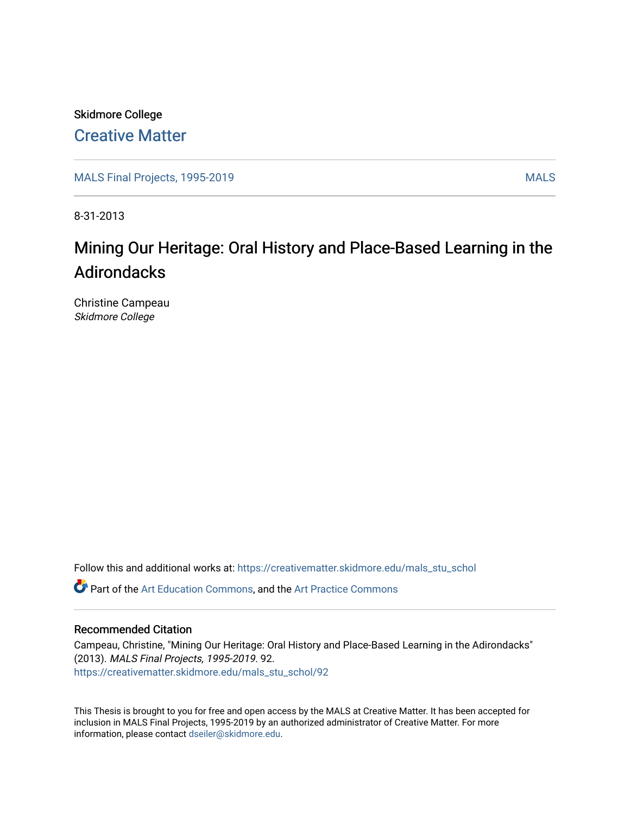Skidmore College [Creative Matter](https://creativematter.skidmore.edu/) 

[MALS Final Projects, 1995-2019](https://creativematter.skidmore.edu/mals_stu_schol) MALS

8-31-2013

### Mining Our Heritage: Oral History and Place-Based Learning in the Adirondacks

Christine Campeau Skidmore College

Follow this and additional works at: [https://creativematter.skidmore.edu/mals\\_stu\\_schol](https://creativematter.skidmore.edu/mals_stu_schol?utm_source=creativematter.skidmore.edu%2Fmals_stu_schol%2F92&utm_medium=PDF&utm_campaign=PDFCoverPages) 

**P** Part of the [Art Education Commons](http://network.bepress.com/hgg/discipline/1149?utm_source=creativematter.skidmore.edu%2Fmals_stu_schol%2F92&utm_medium=PDF&utm_campaign=PDFCoverPages), and the Art Practice Commons

#### Recommended Citation

Campeau, Christine, "Mining Our Heritage: Oral History and Place-Based Learning in the Adirondacks" (2013). MALS Final Projects, 1995-2019. 92. [https://creativematter.skidmore.edu/mals\\_stu\\_schol/92](https://creativematter.skidmore.edu/mals_stu_schol/92?utm_source=creativematter.skidmore.edu%2Fmals_stu_schol%2F92&utm_medium=PDF&utm_campaign=PDFCoverPages) 

This Thesis is brought to you for free and open access by the MALS at Creative Matter. It has been accepted for inclusion in MALS Final Projects, 1995-2019 by an authorized administrator of Creative Matter. For more information, please contact [dseiler@skidmore.edu.](mailto:dseiler@skidmore.edu)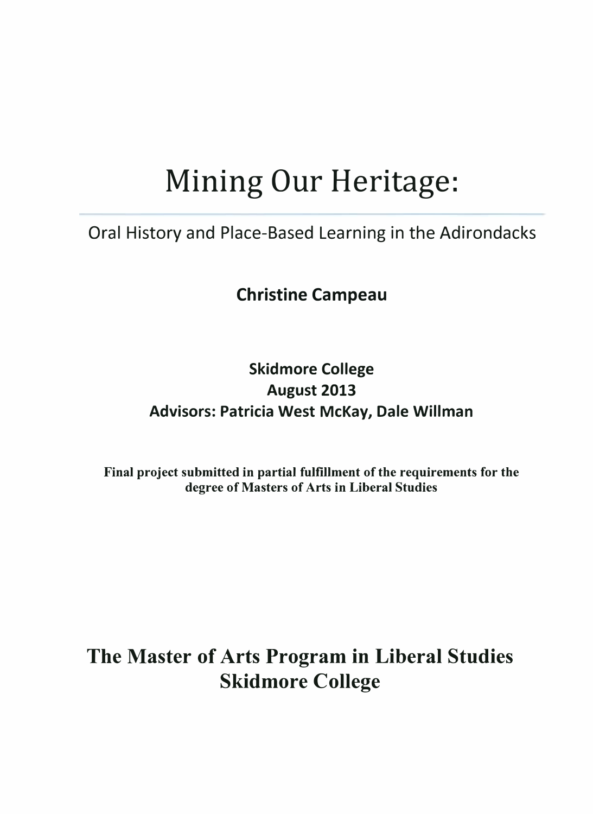# Mining Our Heritage:

### Oral History and Place-Based Learning in the Adirondacks

Christine Campeau

### **Skidmore College** August 2013 Advisors: Patricia West McKay, Dale Willman

Final project submitted in partial fulfillment of the requirements for the degree of Masters of Arts in Liberal Studies

## The Master of Arts Program in Liberal Studies Skidmore College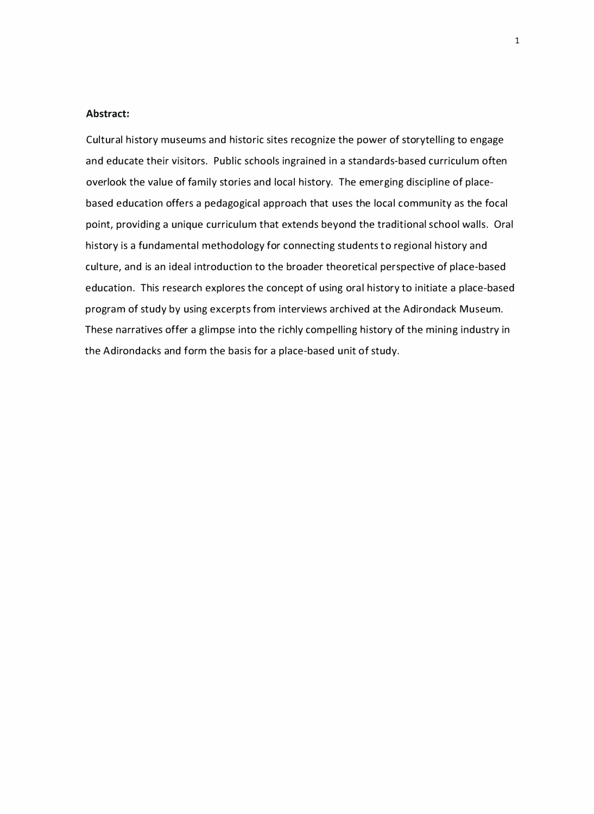#### Abstract:

Cultural history museums and historic sites recognize the power of storytelling to engage and educate their visitors. Public schools ingrained in a standards-based curriculum often overlook the value of family stories and local history. The emerging discipline of placebased education offers a pedagogical approach that uses the local community as the focal point, providing a unique curriculum that extends beyond the traditional school walls. Oral history is a fundamental methodology for connecting students to regional history and culture, and is an ideal introduction to the broader theoretical perspective of place-based education. This research explores the concept of using oral history to initiate a place-based program of study by using excerpts from interviews archived at the Adirondack Museum. These narratives offer a glimpse into the richly compelling history of the mining industry in the Adirondacks and form the basis for a place-based unit of study.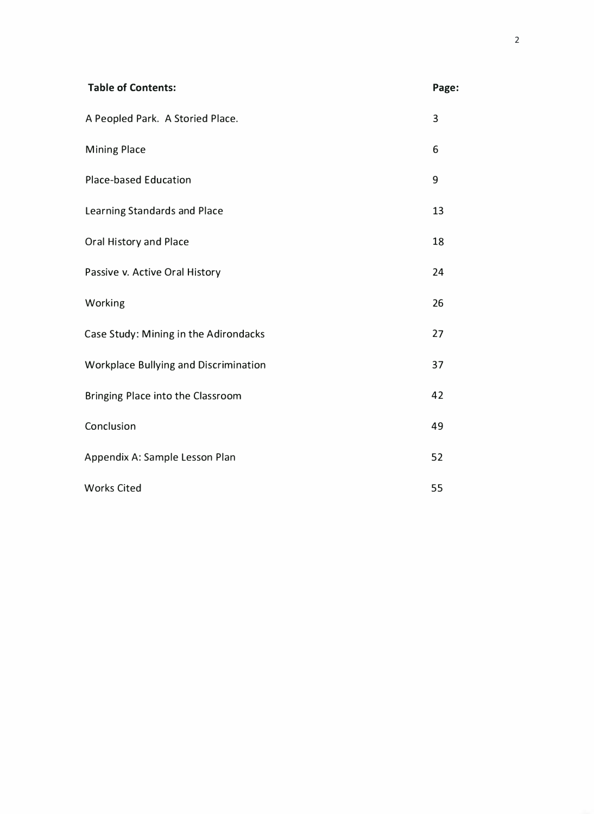| <b>Table of Contents:</b>                    | Page:          |
|----------------------------------------------|----------------|
| A Peopled Park. A Storied Place.             | $\overline{3}$ |
| <b>Mining Place</b>                          | 6              |
| <b>Place-based Education</b>                 | 9              |
| Learning Standards and Place                 | 13             |
| Oral History and Place                       | 18             |
| Passive v. Active Oral History               | 24             |
| Working                                      | 26             |
| Case Study: Mining in the Adirondacks        | 27             |
| <b>Workplace Bullying and Discrimination</b> | 37             |
| Bringing Place into the Classroom            | 42             |
| Conclusion                                   | 49             |
| Appendix A: Sample Lesson Plan               | 52             |
| <b>Works Cited</b>                           | 55             |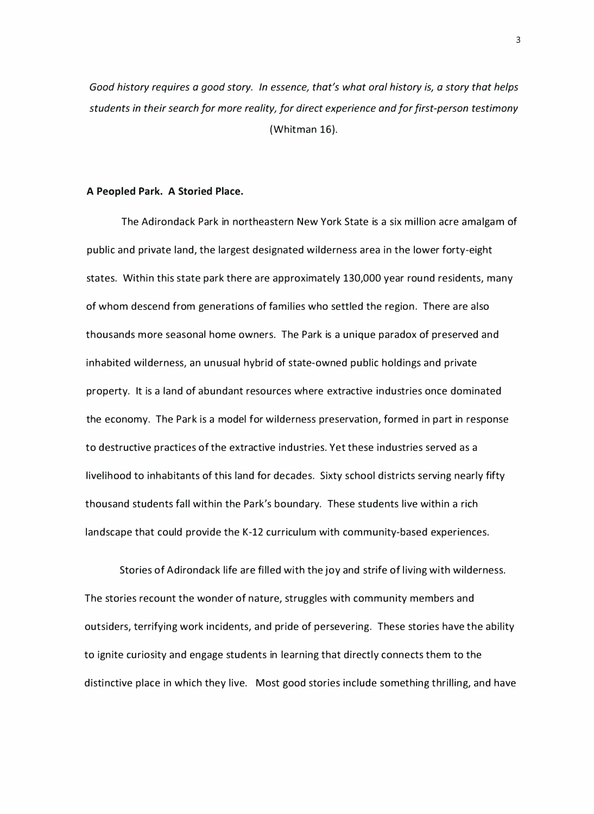Good history requires a good story. In essence, that's what oral history is, a story that helps students in their search for more reality, for direct experience and for first-person testimony (Whitman 16).

#### A Peopled Park. A Storied Place.

The Adirondack Park in northeastern New York State is a six million acre amalgam of public and private land, the largest designated wilderness area in the lower forty-eight states. Within this state park there are approximately 130,000 year round residents, many of whom descend from generations of families who settled the region. There are also thousands more seasonal home owners. The Park is a unique paradox of preserved and inhabited wilderness, an unusual hybrid of state-owned public holdings and private property. It is a land of abundant resources where extractive industries once dominated the economy. The Park is a model for wilderness preservation, formed in part in response to destructive practices of the extractive industries. Yet these industries served as a livelihood to inhabitants of this land for decades. Sixty school districts serving nearly fifty thousand students fall within the Park's boundary. These students live within a rich landscape that could provide the K-12 curriculum with community-based experiences.

Stories of Adirondack life are filled with the joy and strife of living with wilderness. The stories recount the wonder of nature, struggles with community members and outsiders, terrifying work incidents, and pride of persevering. These stories have the ability to ignite curiosity and engage students in learning that directly connects them to the distinctive place in which they live. Most good stories include something thrilling, and have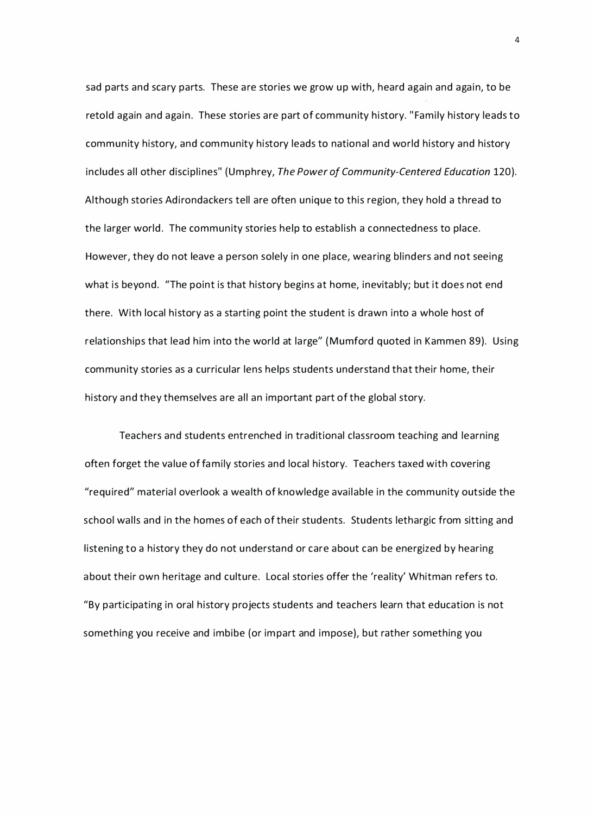sad parts and scary parts. These are stories we grow up with, heard again and again, to be retold again and again. These stories are part of community history. "Family history leads to community history, and community history leads to national and world history and history includes all other disciplines" (Umphrey, The Power of Community-Centered Education 120). Although stories Adirondackers tell are often unique to this region, they hold a thread to the larger world. The community stories help to establish a connectedness to place. However, they do not leave a person solely in one place, wearing blinders and not seeing what is beyond. "The point is that history begins at home, inevitably; but it does not end there. With local history as a starting point the student is drawn into a whole host of relationships that lead him into the world at large" (Mumford quoted in Kammen 89). Using community stories as a curricular lens helps students understand that their home, their history and they themselves are all an important part of the global story.

Teachers and students entrenched in traditional classroom teaching and learning often forget the value of family stories and local history. Teachers taxed with covering "required" material overlook a wealth of knowledge available in the community outside the school walls and in the homes of each of their students. Students lethargic from sitting and listening to a history they do not understand or care about can be energized by hearing about their own heritage and culture. Local stories offer the 'reality' Whitman refers to. "By participating in oral history projects students and teachers learn that education is not something you receive and imbibe (or impart and impose), but rather something you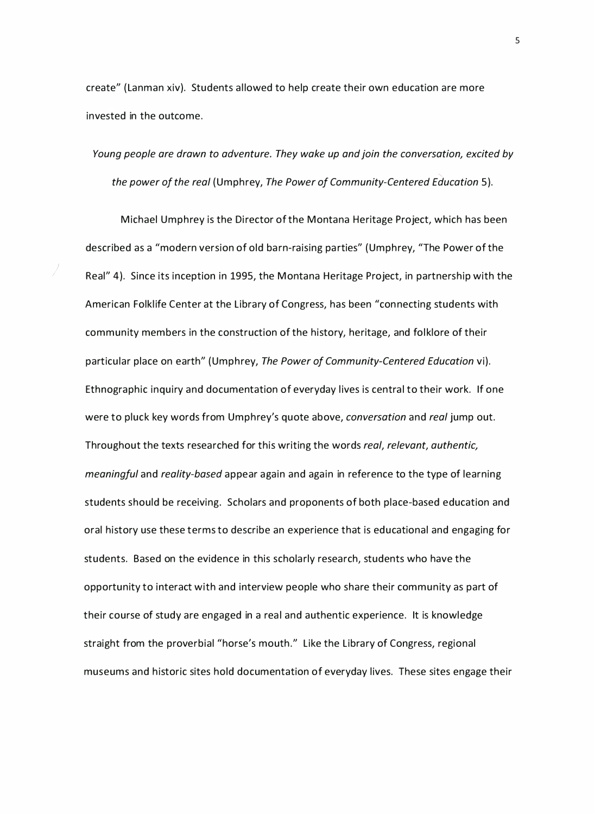create" (Lanman xiv). Students allowed to help create their own education are more invested in the outcome.

J

Young people are drawn to adventure. They wake up and join the conversation, excited by the power of the real (Umphrey, The Power of Community-Centered Education 5 ).

Michael Umphrey is the Director of the Montana Heritage Project, which has been described as a "modern version of old barn-raising parties" (Umphrey, "The Power of the Real" 4). Since its inception in 1995, the Montana Heritage Project, in partnership with the American Folklife Center at the Library of Congress, has been "connecting students with community members in the construction of the history, heritage, and folklore of their particular place on earth" (Umphrey, The Power of Community-Centered Education vi). Ethnographic inquiry and documentation of everyday lives is central to their work. If one were to pluck key words from Umphrey's quote above, conversation and real jump out. Throughout the texts researched for this writing the words real, relevant, authentic, meaningful and reality-based appear again and again in reference to the type of learning students should be receiving. Scholars and proponents of both place-based education and oral history use these terms to describe an experience that is educational and engaging for students. Based on the evidence in this scholarly research, students who have the opportunity to interact with and interview people who share their community as part of their course of study are engaged in a real and authentic experience. It is knowledge straight from the proverbial "horse's mouth." Like the Library of Congress, regional museums and historic sites hold documentation of everyday lives. These sites engage their

5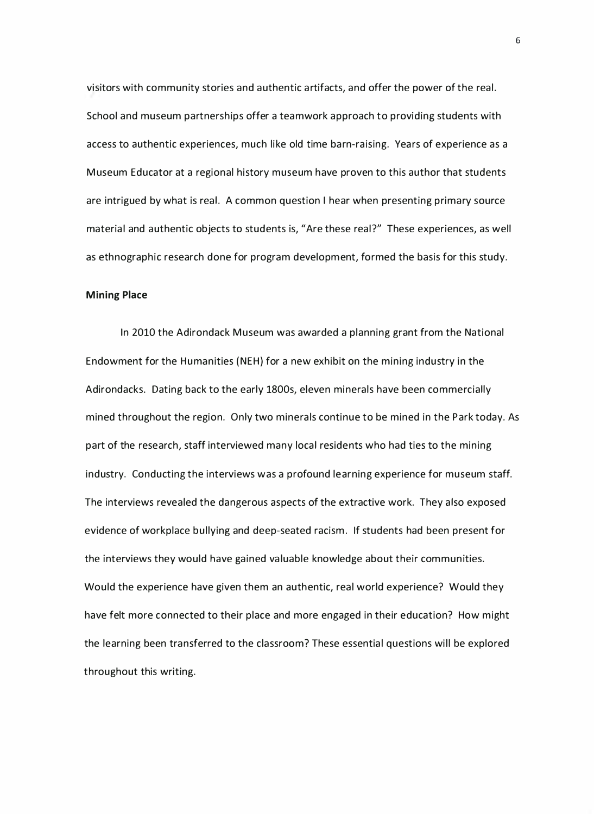visitors with community stories and authentic artifacts, and offer the power of the real. School and museum partnerships offer a teamwork approach to providing students with access to authentic experiences, much like old time barn-raising. Years of experience as a Museum Educator at a regional history museum have proven to this author that students are intrigued by what is real. A common question I hear when presenting primary source material and authentic objects to students is, "Are these real?" These experiences, as well as ethnographic research done for program development, formed the basis for this study.

#### Mining Place

In 2010 the Adirondack Museum was awarded a planning grant from the National Endowment for the Humanities (NEH) for a new exhibit on the mining industry in the Adirondacks. Dating back to the early 1800s, eleven minerals have been commercially mined throughout the region. Only two minerals continue to be mined in the Park today. As part of the research, staff interviewed many local residents who had ties to the mining industry. Conducting the interviews was a profound learning experience for museum staff. The interviews revealed the dangerous aspects of the extractive work. They also exposed evidence of workplace bullying and deep-seated racism. If students had been present for the interviews they would have gained valuable knowledge about their communities. Would the experience have given them an authentic, real world experience? Would they have felt more connected to their place and more engaged in their education? How might the learning been transferred to the classroom? These essential questions will be explored throughout this writing.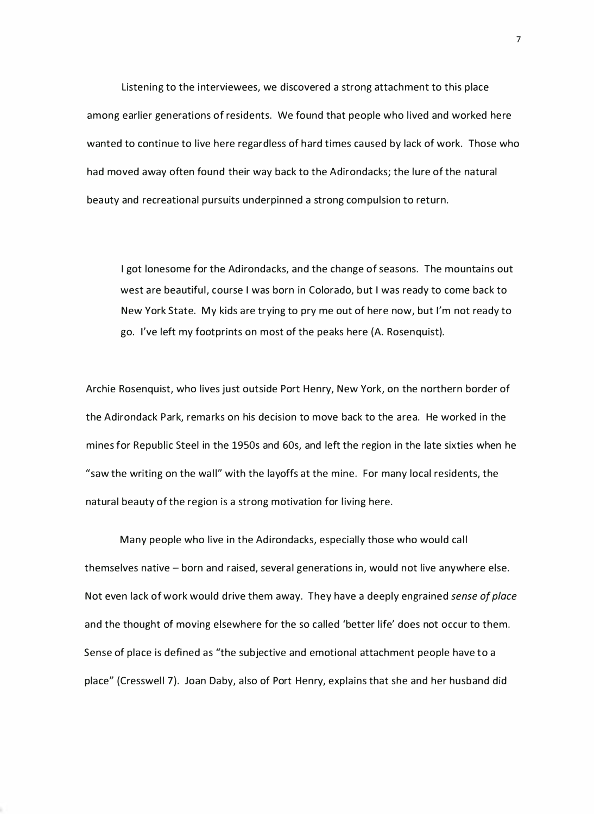Listening to the interviewees, we discovered a strong attachment to this place among earlier generations of residents. We found that people who lived and worked here wanted to continue to live here regardless of hard times caused by lack of work. Those who had moved away often found their way back to the Adirondacks; the lure of the natural beauty and recreational pursuits underpinned a strong compulsion to return.

I got lonesome for the Adirondacks, and the change of seasons. The mountains out west are beautiful, course I was born in Colorado, but I was ready to come back to New York State. My kids are trying to pry me out of here now, but I'm not ready to go. I've left my footprints on most of the peaks here (A. Rosenquist).

Archie Rosenquist, who lives just outside Port Henry, New York, on the northern border of the Adirondack Park, remarks on his decision to move back to the area. He worked in the mines for Republic Steel in the 1950s and 60s, and left the region in the late sixties when he "saw the writing on the wall" with the layoffs at the mine. For many local residents, the natural beauty of the region is a strong motivation for living here.

Many people who live in the Adirondacks, especially those who would call themselves native - born and raised, several generations in, would not live anywhere else. Not even lack of work would drive them away. They have a deeply engrained sense of place and the thought of moving elsewhere for the so called 'better life' does not occur to them. Sense of place is defined as "the subjective and emotional attachment people have to a place" (Cresswell 7). Joan Daby, also of Port Henry, explains that she and her husband did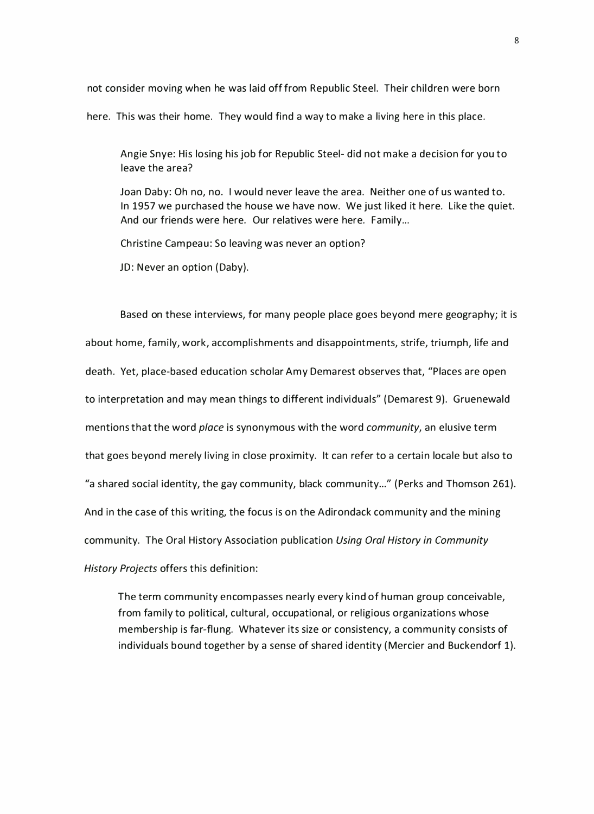not consider moving when he was laid off from Republic Steel. Their children were born here. This was their home. They would find a way to make a living here in this place.

Angie Snye: His losing his job for Republic Steel- did not make a decision for you to leave the area?

Joan Daby: Oh no, no. I would never leave the area. Neither one of us wanted to. In 1957 we purchased the house we have now. We just liked it here. Like the quiet. And our friends were here. Our relatives were here. Family...

Christine Campeau: So leaving was never an option?

JD: Never an option (Daby).

Based on these interviews, for many people place goes beyond mere geography; it is about home, family, work, accomplishments and disappointments, strife, triumph, life and death. Yet, place-based education scholar Amy Demarest observes that, "Places are open to interpretation and may mean things to different individuals" ( Demarest 9). Gruenewald mentions that the word *place* is synonymous with the word *community*, an elusive term that goes beyond merely living in close proximity. It can refer to a certain locale but also to "a shared social identity, the gay community, black community..." (Perks and Thomson 261). And in the case of this writing, the focus is on the Adirondack community and the mining community. The Oral History Association publication Using Oral History in Community History Projects offers this definition:

The term community encompasses nearly every kind of human group conceivable, from family to political, cultural, occupational, or religious organizations whose membership is far-flung. Whatever its size or consistency, a community consists of individuals bound together by a sense of shared identity ( Mercier and Buckendorf 1).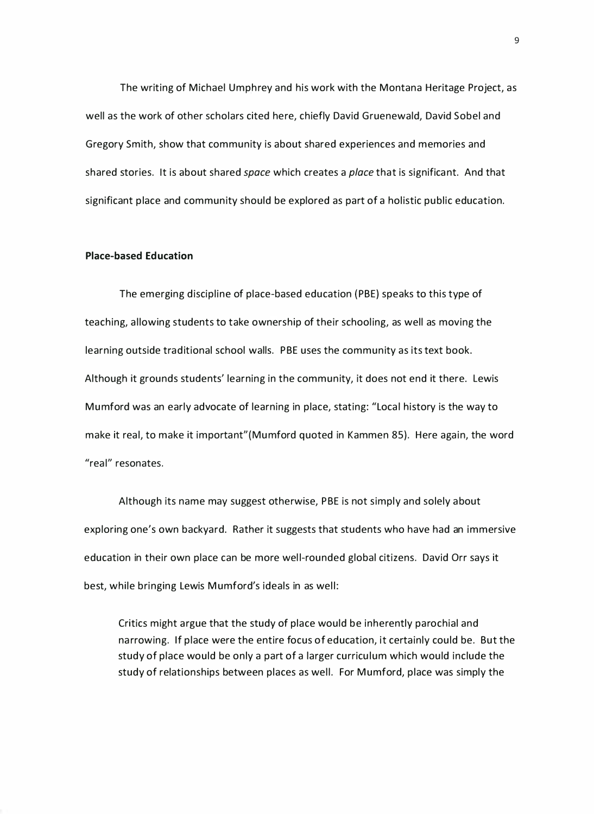The writing of Michael Umphrey and his work with the Montana Heritage Project, as well as the work of other scholars cited here, chiefly David Gruenewald, David Sobel and Gregory Smith, show that community is about shared experiences and memories and shared stories. It is about shared space which creates a place that is significant. And that significant place and community should be explored as part of a holistic public education.

#### Place-based Education

The emerging discipline of place-based education { PBE) speaks to this type of teaching, allowing students to take ownership of their schooling, as well as moving the learning outside traditional school walls. PBE uses the community as its text book. Although it grounds students' learning in the community, it does not end it there. Lewis Mumford was an early advocate of learning in place, stating: "Local history is the way to make it real, to make it important"(Mumford quoted in Kammen 85). Here again, the word "real" resonates.

Although its name may suggest otherwise, PBE is not simply and solely about exploring one's own backyard. Rather it suggests that students who have had an immersive education in their own place can be more well-rounded global citizens. David Orr says it best, while bringing Lewis Mumford's ideals in as well:

Critics might argue that the study of place would be inherently parochial and na rrowing. If place were the entire focus of education, it certainly could be. But the study of place would be only a part of a larger curricu lum which would include the study of relationships between places as well. For Mumford, place was simply the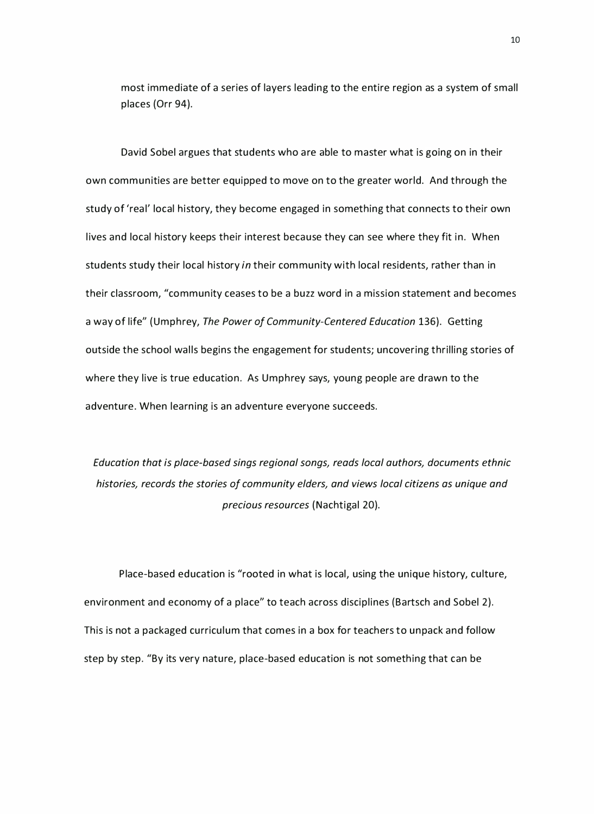most immediate of a series of layers leading to the entire region as a system of small places (Orr 94).

David Sobel argues that students who are able to master what is going on in their own communities a re better equipped to move on to the greater world. And through the study of 'real' local history, they become engaged in something that connects to their own lives and local history keeps their interest because they can see where they fit in. When students study their local history in their community with local residents, rather than in their classroom, "community ceases to be a buzz word in a mission statement and becomes a way of life" (Umphrey, The Power of Community-Centered Education 136). Getting outside the school walls begins the engagement for students; uncovering thrilling stories of where they live is true education. As Umphrey says, young people are drawn to the adventure. When learning is an adventure everyone succeeds.

Education that is place-based sings regional songs, reads local authors, documents ethnic histories, records the stories of community elders, and views local citizens as unique and precious resources (Nachtigal 20).

Place-based education is "rooted in what is local, using the unique history, culture, environment and economy of a place" to teach across disciplines (Bartsch and Sobel 2). This is not a packaged curriculum that comes in a box for teachers to unpack and follow step by step. "By its very nature, place-based education is not something that can be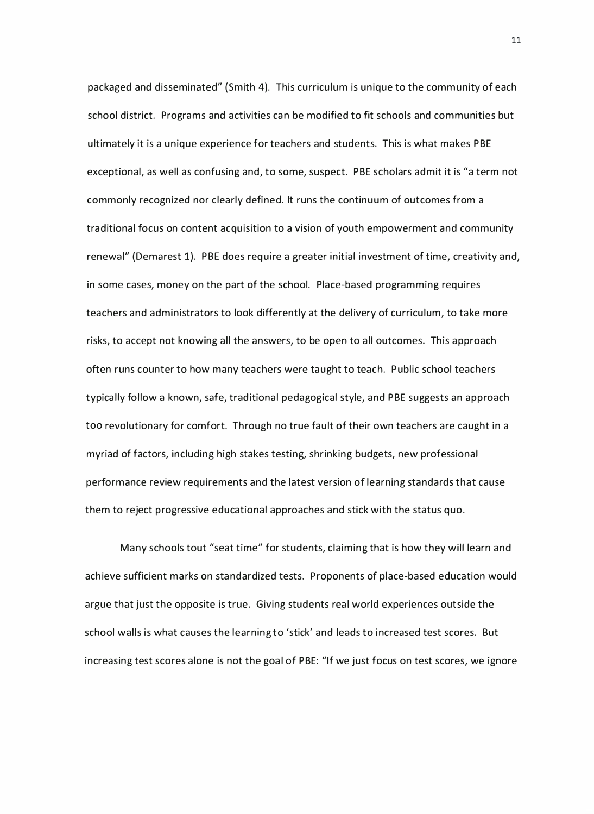packaged and disseminated" (Smith 4). This curriculum is unique to the community of each school district. Programs and activities can be modified to fit schools and communities but ultimately it is a unique experience for teachers and students. This is what makes PBE exceptional, as well as confusing and, to some, suspect. PBE scholars admit it is "a term not commonly recognized nor clearly defined. It runs the continuum of outcomes from a traditional focus on content acquisition to a vision of youth empowerment and community renewal" (Demarest 1). PBE does require a greater initial investment of time, creativity and, in some cases, money on the part of the school. Place-based programming requires teachers and administrators to look differently at the del ivery of curriculum, to take more risks, to accept not knowing all the answers, to be open to all outcomes. This approach often runs counter to how many teachers were taught to teach. Public school teachers typica lly follow a known, safe, traditional pedagogical style, and PBE suggests an approach too revolutionary for comfort. Through no true fault of their own teachers are caught in a myriad of factors, including high stakes testing, shrinking budgets, new professional performance review requirements and the latest version of learning standards that cause them to reject progressive educational approaches and stick with the status quo.

Many schools tout "seat time" for students, claiming that is how they will learn and achieve sufficient marks on standardized tests. Proponents of place-based education would argue that just the opposite is true. Giving students real world experiences outside the school walls is what causes the learning to 'stick' and leads to increased test scores. But increasing test scores alone is not the goal of PBE: "If we just focus on test scores, we ignore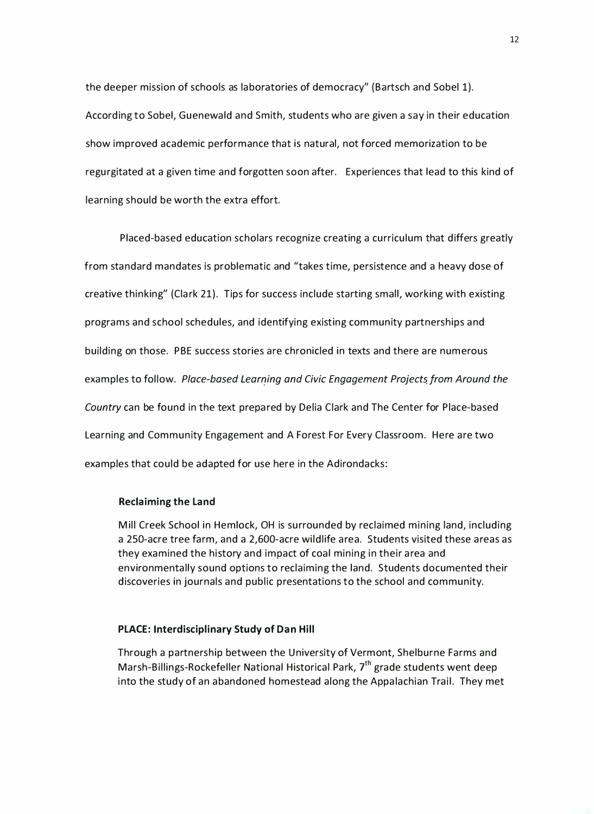the deeper mission of schools as laboratories of democracy" (Bartsch and Sobel 1). According to Sobel, Guenewald and Smith, students who are given a say in their education show improved academic performance that is natural, not forced memorization to be regurgitated at a given time and forgotten soon after. Experiences that lead to this kind of learning should be worth the extra effort.

Placed-based education scholars recognize creating a curriculum that differs greatly from standard mandates is problematic and "takes time, persistence and a heavy dose of creative thinking" (Clark 21). Tips for success include starting small, working with existing programs and school schedules, and identifying existing community partnerships a nd building on those. PBE success stories are chronicled in texts and there are numerous examples to follow. Place-based Learning and Civic Engagement Projects from Around the Country can be found in the text prepared by Delia Clark and The Center for Place-based Learning and Community Engagement and A Forest For Every Classroom. Here are two examples that could be adapted for use here in the Adirondacks:

#### Reclaiming the Land

Mill Creek School in Hemlock, OH is surrounded by reclaimed mining land, including a 250-acre tree farm, and a 2,600-acre wi ldlife a rea. Students visited these a reas as they examined the history and impact of coal mining in their area and environmentally sound options to reclaiming the land. Students documented their discoveries in journals and public presentations to the school and community.

#### PLACE: Interdisciplinary Study of Dan Hill

Through a partnership between the University of Vermont, Shelburne Farms and Marsh-Billings-Rockefeller National Historical Park,  $7<sup>th</sup>$  grade students went deep into the study of an abandoned homestead along the Appalachian Trail. They met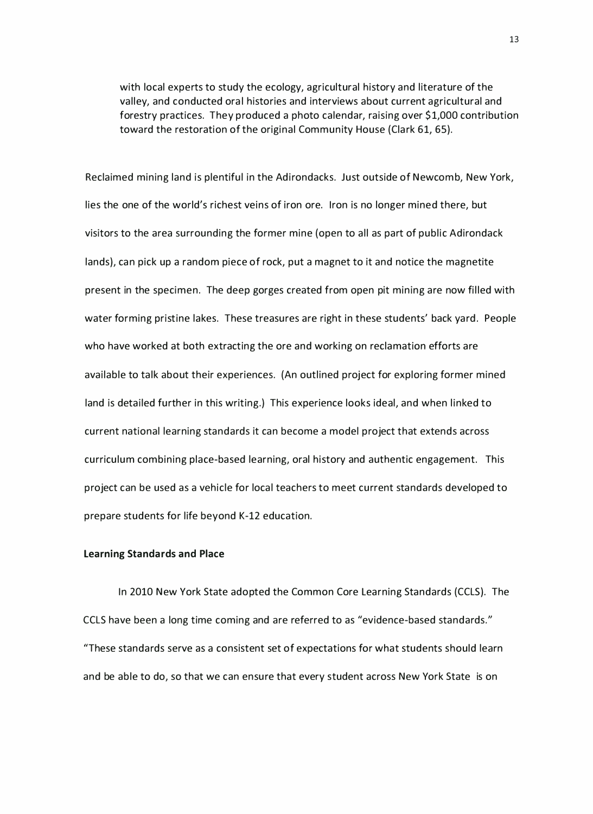with local experts to study the ecology, agricultural history and literature of the valley, and conducted oral histories and interviews about current agricultural and forestry practices. They produced a photo calendar, raising over \$ 1,000 contribution toward the restoration of the original Community House (Clark 61, 65).

Reclaimed mining land is plentiful in the Adirondacks. Just outside of Newcomb, New York, lies the one of the world's richest veins of iron ore. Iron is no longer mined there, but visitors to the area surrounding the former mine (open to all as part of public Adirondack lands), can pick up a random piece of rock, put a magnet to it and notice the magnetite present in the specimen. The deep gorges created from open pit mining are now filled with water forming pristine lakes. These treasures are right in these students' back yard. People who have worked at both extracting the ore and working on reclamation efforts are available to talk about their experiences. (An outlined project for exploring former mined land is detailed further in this writing.) This experience looks ideal, and when linked to current national learning standards it can become a model project that extends across curriculum combining place-based learning, oral history and authentic engagement. This project can be used as a vehicle for local teachers to meet current standards developed to prepare students for life beyond K-12 education.

#### Learning Standards and Place

In 2010 New York State adopted the Common Core Learning Standards (CCLS). The CCLS have been a long time coming and are referred to as "evidence-based standards." "These standards serve as a consistent set of expectations for what students should learn and be able to do, so that we can ensure that every student across New York State is on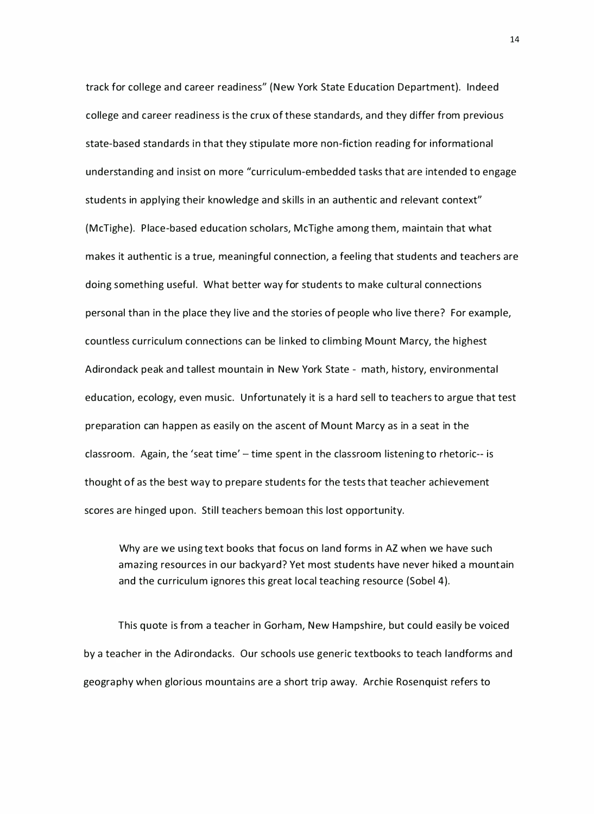track for college and career readiness" (New York State Education Department). Indeed college and career readiness is the crux of these standards, and they differ from previous state-based standards in that they stipulate more non-fiction reading for informational understanding and insist on more "curriculum-embedded tasks that are intended to engage students in applying their knowledge and skills in an authentic and relevant context" (McTighe). Place-based education scholars, McTighe among them, maintain that what makes it authentic is a true, meaningful connection, a feeling that students and teachers are doing something useful. What better way for students to make cultural connections personal than in the place they live and the stories of people who live there? For example, countless curriculum connections can be linked to climbing Mount Marcy, the highest Adirondack peak and tallest mountain in New York State - math, history, environmental education, ecology, even music. Unfortunately it is a hard sell to teachers to argue that test preparation can happen as easily on the ascent of Mount Marcy as in a seat in the classroom. Again, the 'seat time' - time spent in the classroom listening to rhetoric-- is thought of as the best way to prepare students for the tests that teacher achievement scores are hinged upon. Still teachers bemoan this lost opportunity.

Why are we using text books that focus on land forms in AZ when we have such amazing resources in our backyard? Yet most students have never hiked a mountain and the curriculum ignores this great local teaching resource (Sobel 4).

This quote is from a teacher in Gorham, New Hampshire, but could easily be voiced by a teacher in the Adirondacks. Our schools use generic textbooks to teach landforms and geogra phy when glorious mountains are a short trip away. Archie Rosenquist refers to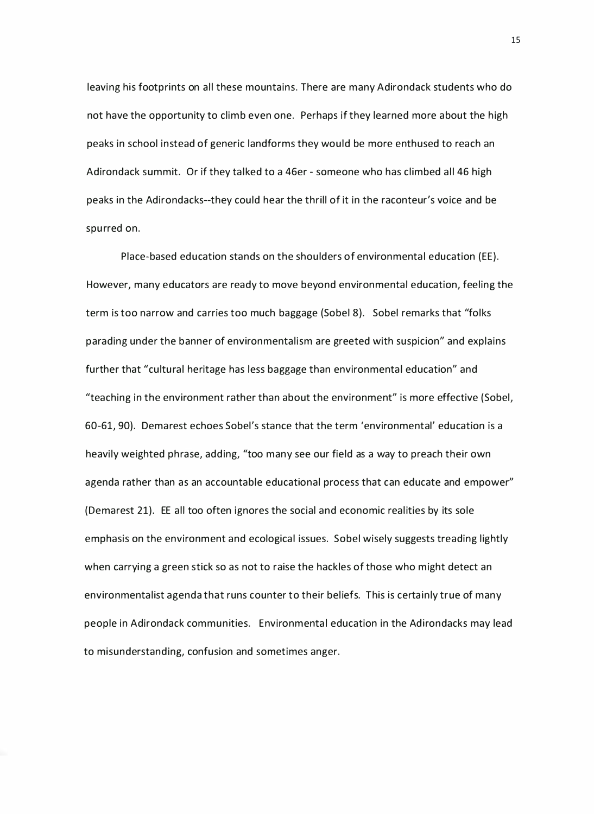leaving his footprints on all these mountains. There are many Adirondack students who do not have the opportunity to climb even one. Perhaps if they learned more about the high peaks in school instead of generic landforms they would be more enthused to reach an Adirondack summit. Or if they talked to a 46er - someone who has climbed all 46 high peaks in the Adirondacks--they could hear the thrill of it in the raconteur's voice and be spurred on.

Place-based education stands on the shoulders of environmental education (EE). However, many educators are ready to move beyond environmental education, feeling the term is too narrow and carries too much baggage (Sobel 8). Sobel remarks that "folks parading under the banner of environmentalism are greeted with suspicion" and explains further that "cultural heritage has less baggage than environmental education" and "teaching in the environment rather than about the environment" is more effective (Sobel, 60-61, 90). Demarest echoes Sobel's stance that the term 'environmental' education is a heavily weighted phrase, adding, "too many see our field as a way to preach their own agenda rather than as an accountable educational process that can educate and empower" (Demarest 21). EE all too often ignores the social and economic realities by its sole emphasis on the environment and ecological issues. Sobel wisely suggests treading lightly when carrying a green stick so as not to raise the hackles of those who might detect an environmentalist agenda that runs counter to their beliefs. This is certainly true of many people in Adirondack communities. Environmenta l education in the Adirondacks may lead to misunderstanding, confusion and sometimes anger.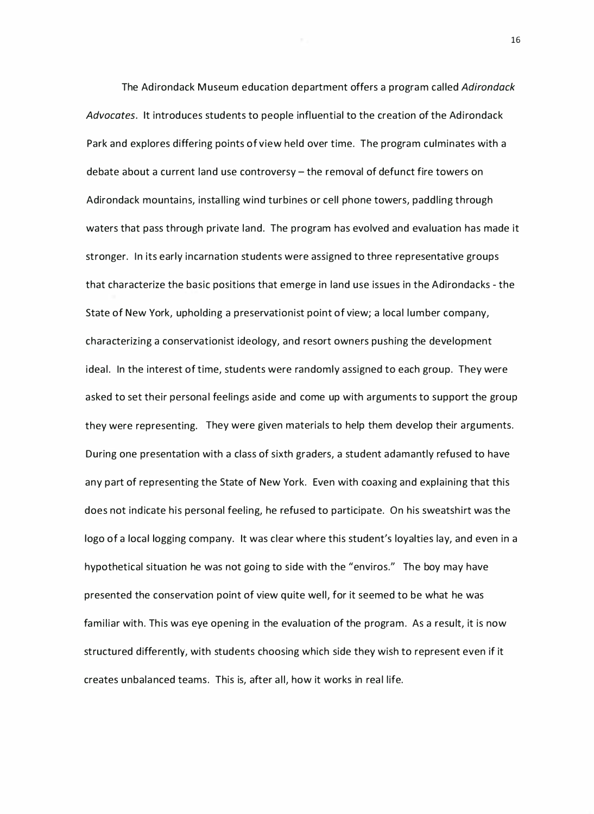The Adirondack Museum education department offers a program called Adirondack Advocates. It introduces students to people influential to the creation of the Adirondack Park and explores differing points of view held over time. The program culminates with a debate about a current land use controversy - the removal of defunct fire towers on Adirondack mountains, installing wind turbines or cell phone towers, paddling through waters that pass through private land. The program has evolved and evaluation has made it stronger. In its early incarnation students were assigned to three representative groups that characterize the basic positions that emerge in land use issues in the Adirondacks - the State of New York, upholding a preservationist point of view; a local lumber company, characterizing a conservationist ideology, and resort owners pushing the development ideal. In the interest of time, students were randomly assigned to each group. They were asked to set their personal feelings aside and come up with arguments to support the group they were representing. They were given materials to help them develop their a rguments. During one presentation with a class of sixth graders, a student adamantly refused to have any part of representing the State of New York. Even with coaxing and explaining that this does not indicate his personal feeling, he refused to participate. On his sweatshirt was the logo of a local logging company. It was clear where this student's loyalties lay, and even in a hypothetical situation he was not going to side with the "enviros." The boy may have presented the conservation point of view quite well, for it seemed to be what he was familiar with. This was eye opening in the evaluation of the program. As a result, it is now structured differently, with students choosing which side they wish to represent even if it creates unbalanced teams. This is, after all, how it works in real life.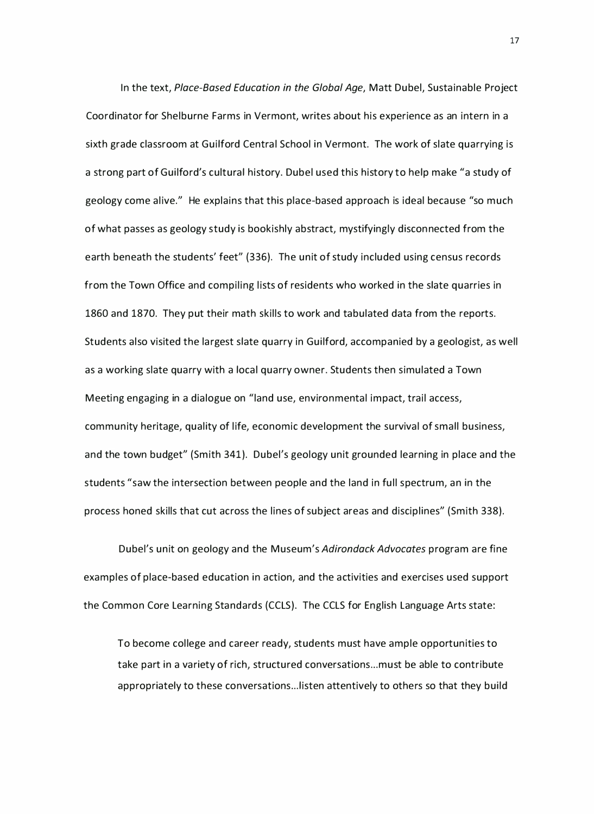In the text, Place-Based Education in the Global Age, Matt Dubel, Sustainable Project Coordinator for Shelburne Farms in Vermont, writes about his experience as an intern in a sixth grade classroom at Guilford Central School in Vermont. The work of slate quarrying is a strong part of Guilford's cultural history. Dubel used this history to help make "a study of geology come alive." He explains that this place-based approach is ideal because "so much of what passes as geology study is bookishly abstract, mystifyingly discon nected from the earth beneath the students' feet" (336}. The unit of study included using census records from the Town Office and compiling lists of residents who worked in the slate quarries in 1860 and 1870. They put their math skills to work and tabulated data from the reports. Students also visited the largest slate quarry in Guilford, accompanied by a geologist, as well as a working slate quarry with a local quarry owner. Students then simulated a Town Meeting engaging in a dialogue on "land use, environmental impact, trail access, community heritage, quality of life, economic development the survival of small business, and the town budget" (Smith 341}. Dubel's geology unit grounded learning in place and the students "saw the intersection between people and the land in full spectrum, an in the process honed skills that cut across the lines of subject areas and disciplines" (Smith 338}.

Dubel's unit on geology and the Museum's Adirondack Advocates program are fine examples of place-based education in action, and the activities and exercises used support the Common Core Learning Standards (CCLS}. The CCLS for English Language Arts state:

To become college and career ready, students must have ample opportunities to take part in a variety of rich, structured conversations ... must be able to contribute appropriately to these conversations... listen attentively to others so that they build

17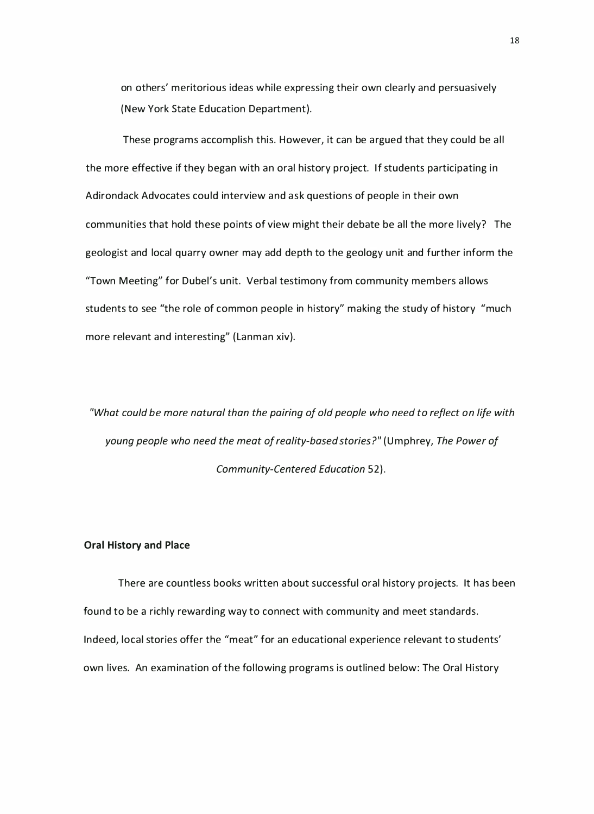on others' meritorious ideas while expressing their own clearly and persuasively (New York State Education Department).

These programs accomplish this. However, it can be argued that they could be all the more effective if they began with an oral history project. If students participating in Adirondack Advocates could interview and ask questions of people in their own communities that hold these points of view might their debate be all the more lively? The geologist and local quarry owner may add depth to the geology unit and further inform the "Town Meeting" for Dubel's unit. Verbal testimony from community members allows students to see "the role of common people in history" making the study of history "much more relevant and interesting" ( Lanman xiv).

"What could be more natural than the pairing of old people who need to reflect on life with young people who need the meat of reality-based stories?" (Umphrey, The Power of Community-Centered Education 52).

#### Oral History and Place

There are countless books written about successful oral history projects. It has been found to be a richly rewarding way to connect with community and meet standards. Indeed, local stories offer the "meat" for an educational experience relevant to students' own lives. An examination of the following programs is outlined below: The Oral History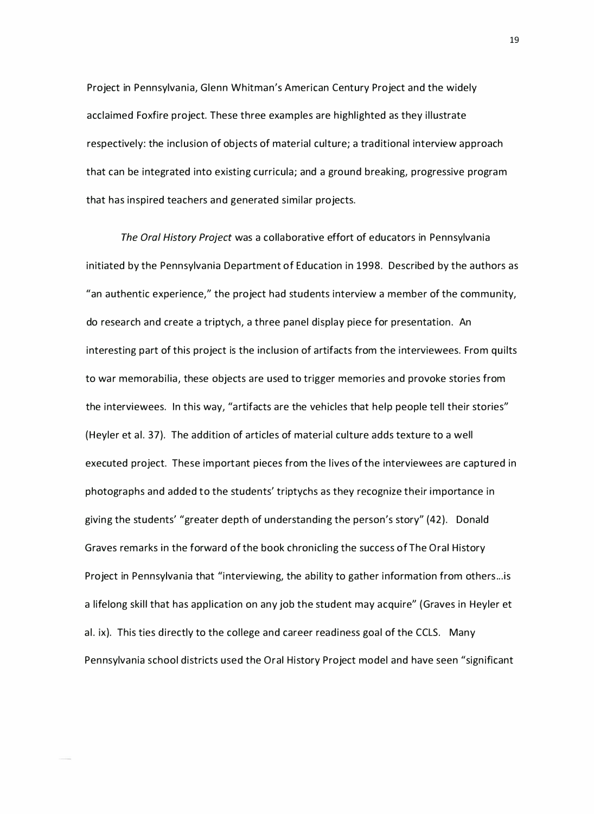Project in Pennsylvania, Glenn Whitman's American Century Project and the widely acclaimed Foxfire project. These three examples are highlighted as they illustrate respectively: the inclusion of objects of material culture; a traditional interview approach that can be integrated into existing curricula; and a ground breaking, progressive program that has inspired teachers and generated similar projects.

The Oral History Project was a collaborative effort of educators in Pennsylvania initiated by the Pennsylvania Department of Education in 1998. Described by the authors as "an authentic experience," the project had students interview a member of the community, do research and create a triptych, a three panel display piece for presentation. An interesting part of this project is the inclusion of artifacts from the interviewees. From quilts to war memorabilia, these objects are used to trigger memories and provoke stories from the interviewees. In this way, "artifacts are the vehicles that help people tell their stories" (Heyler et al. 37). The addition of articles of material culture adds texture to a well executed project. These important pieces from the lives of the interviewees are captured in photographs and added to the students' triptychs as they recognize their importance in giving the students' "greater depth of understanding the person's story" (42). Donald Graves remarks in the forward of the book chronicling the success of The Oral History Project in Pennsylvania that "interviewing, the ability to gather information from others... is a lifelong skill that has application on any job the student may acquire" (Graves in Heyler et al. ix). This ties directly to the college and career readiness goal of the CCLS. Many Pennsylvania school districts used the Oral History Project model and have seen "significant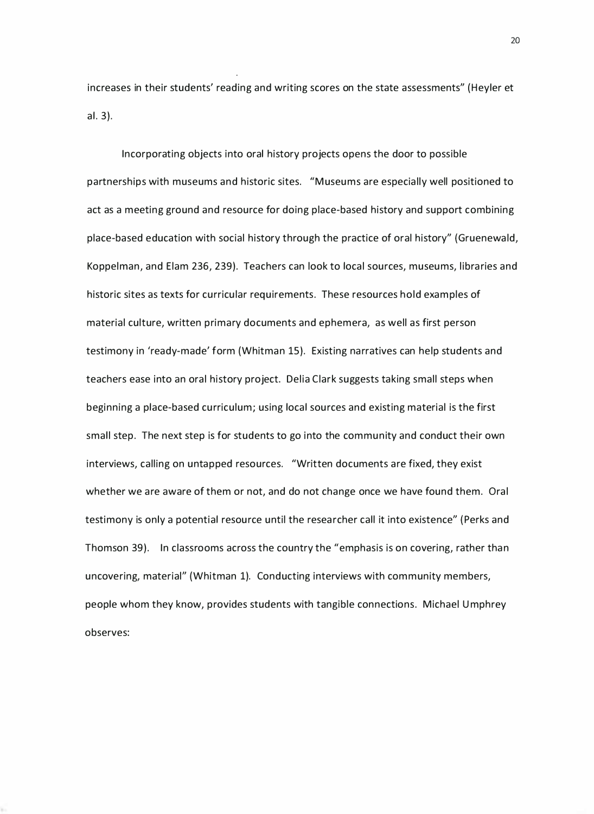increases in their students' reading and writing scores on the state assessments" (Heyler et al. 3}.

Incorporating objects into oral history projects opens the door to possible partnerships with museums and historic sites. "M useums are especially well positioned to act as a meeting ground and resource for doing place-based history and support combining place-based education with social history through the practice of oral history" {Gruenewald, Koppelman, and Elam 236, 239). Teachers can look to local sources, museums, libraries and historic sites as texts for curricular requirements. These resources hold examples of material culture, written primary documents and ephemera, as well as first person testimony in 'ready-made' form (Whitman 15}. Existing narratives can help students and teachers ease into an oral history project. Delia Clark suggests taking small steps when beginning a place-based curriculum; using local sources and existing material is the first small step. The next step is for students to go into the community and conduct their own interviews, calling on untapped resources. "Written documents are fixed, they exist whether we are aware of them or not, and do not change once we have found them. Oral testimony is only a potential resource until the resea rcher call it into existence" { Perks and Thomson 39). In classrooms across the country the "emphasis is on covering, rather than uncovering, material" (Whitman 1}. Conducting interviews with community members, people whom they know, provides students with tangible connections. Michael Umphrey observes: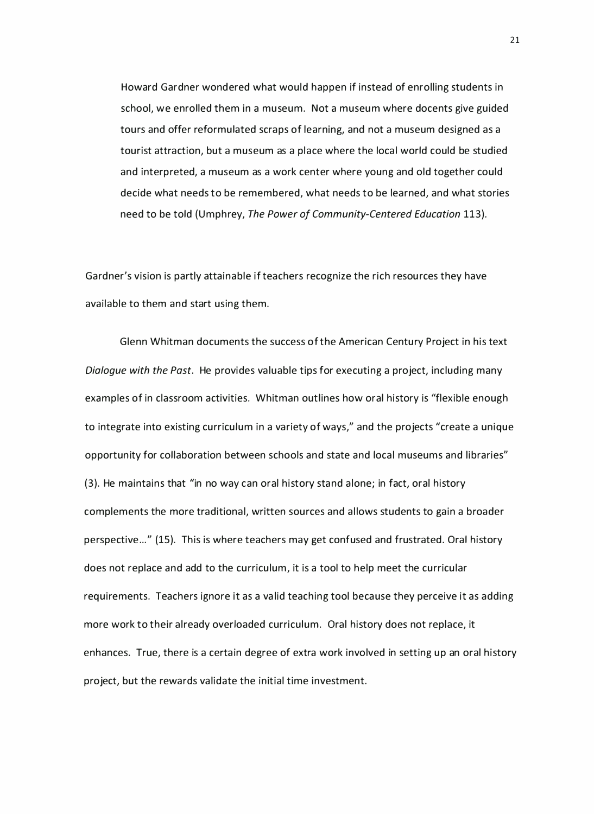Howard Gardner wondered what would happen if instead of enrolling students in school, we enrolled them in a museum. Not a museum where docents give guided tours and offer reformulated scraps of learning, and not a museum designed as a tourist attraction, but a museum as a place where the local world could be studied and interpreted, a museum as a work center where young and old together could decide what needs to be remembered, what needs to be learned, and what stories need to be told (Umphrey, The Power of Community-Centered Education 113).

Gardner's vision is partly attainable if teachers recognize the rich resources they have available to them and start using them.

Glenn Whitman documents the success of the American Century Project in his text Dialogue with the Past. He provides valuable tips for executing a project, including many examples of in classroom activities. Whitman outlines how oral history is "flexible enough to integrate into existing curriculum in a variety of ways," and the projects "create a unique opportunity for collaboration between schools and state and local museums and libraries" (3). He maintains that "in no way can oral history stand alone; in fact, oral history complements the more traditional, written sources and allows students to gain a broader perspective ... " (15). This is where teachers may get confused and frustrated. Oral history does not replace and add to the curriculum, it is a tool to help meet the curricular requirements. Teachers ignore it as a valid teaching tool because they perceive it as adding more work to their already overloaded curriculum. Oral history does not replace, it enhances. True, there is a certain degree of extra work involved in setting up an oral history project, but the rewards validate the initial time investment.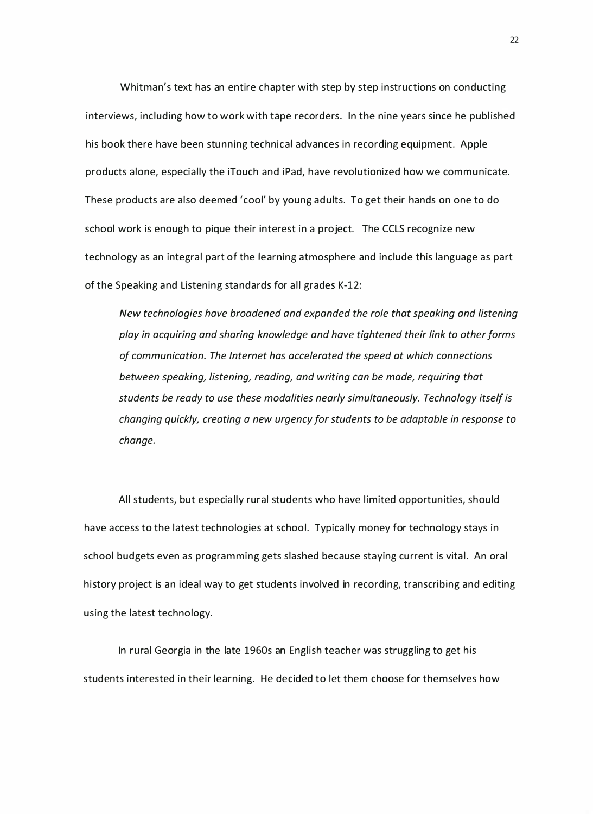Whitman's text has an entire chapter with step by step instructions on conducting interviews, including how to work with tape recorders. In the nine years since he published his book there have been stunning technical advances in recording equipment. Apple products alone, especially the iTouch and iPad, have revol utionized how we communicate. These products are also deemed 'cool' by young adults. To get their hands on one to do school work is enough to pique their interest in a project. The CCLS recognize new technology as an integral part of the learning atmosphere and include this language as part of the Speaking and Listening standards for all grades K-12:

New technologies have broadened and expanded the role that speaking and listening play in acquiring and sharing knowledge and have tightened their link to other forms of communication. The Internet has accelerated the speed at which connections between speaking, listening, reading, and writing can be made, requiring that students be ready to use these modalities nearly simultaneously. Technology itself is changing quickly, creating a new urgency for students to be adaptable in response to change.

All students, but especially rural students who have limited opportunities, should have access to the latest technologies at school. Typically money for technology stays in school budgets even as programming gets slashed because staying current is vital. An oral history project is an ideal way to get students involved in recording, transcribing and editing using the latest technology.

In rural Georgia in the late 1960s an English teacher was struggling to get his students interested in their learning. He decided to let them choose for themselves how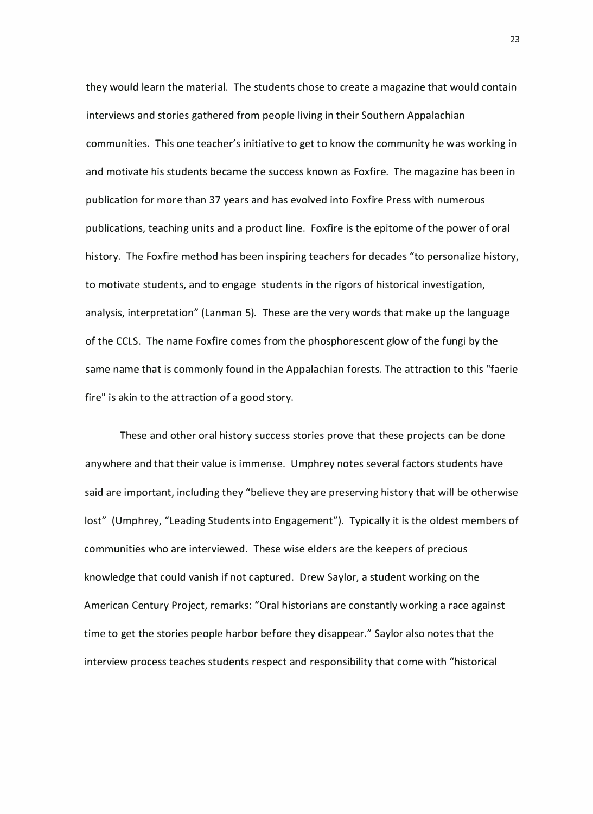they would learn the material. The students chose to create a magazine that would contain interviews and stories gathered from people living in their Southern Appalachian communities. This one teacher's initiative to get to know the community he was working in and motivate his students became the success known as Foxfire. The magazine has been in publication for more than 37 years and has evolved into Foxfire Press with numerous publications, teaching units and a product line. Foxfire is the epitome of the power of ora l history. The Foxfire method has been inspiring teachers for decades "to personalize history, to motivate students, and to engage students in the rigors of historical investigation, analysis, interpretation" (Lanman 5). These are the very words that make up the language of the CCLS. The name Foxfire comes from the phosphorescent glow of the fungi by the same name that is commonly found in the Appalachian forests. The attraction to this "faerie fire" is akin to the attraction of a good story.

These and other oral history success stories prove that these projects can be done anywhere and that their value is immense. Umphrey notes several factors students have said are important, including they "believe they are preserving history that will be otherwise lost" (Umphrey, "Leading Students into Engagement"). Typically it is the oldest members of communities who are interviewed. These wise elders are the keepers of precious knowledge that could vanish if not captured. Drew Saylor, a student working on the American Century Project, remarks: "Oral historians are constantly working a race against time to get the stories people harbor before they disappear." Saylor also notes that the interview process teaches students respect and responsibility that come with "historical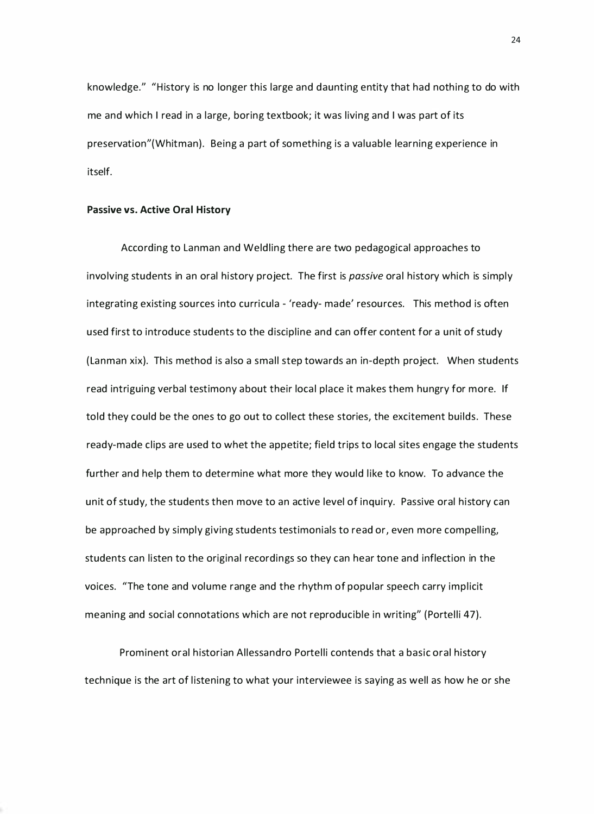knowledge." "History is no longer this large and daunting entity that had nothing to do with me and which I read in a large, boring textbook; it was living and I was part of its preservation"(Whitman). Being a part of something is a valuable learning experience in itself.

#### Passive vs. Active Oral History

According to Lanman and Weldling there are two pedagogical approaches to involving students in an oral history project. The first is *passive* oral history which is simply integrating existing sources into curricula - 'ready- made' resources. This method is often used first to introduce students to the discipline and can offer content for a unit of study (Lanman xix). This method is also a small step towards an in-depth project. When students read intriguing verbal testimony about their local place it makes them hungry for more. If told they could be the ones to go out to collect these stories, the excitement builds. These ready-made clips are used to whet the appetite; field trips to local sites engage the students further and help them to determine what more they would like to know. To advance the unit of study, the students then move to an active level of inquiry. Passive oral history can be approached by simply giving students testimonials to read or, even more compelling, students can listen to the original recordings so they can hear tone and inflection in the voices. "The tone and volume range and the rhythm of popular speech carry implicit meaning and social connotations which are not reproducible in writing" (Portelli 47).

Prominent oral historian Allessandro Portelli contends that a basic oral history technique is the art of listening to what your interviewee is saying as well as how he or she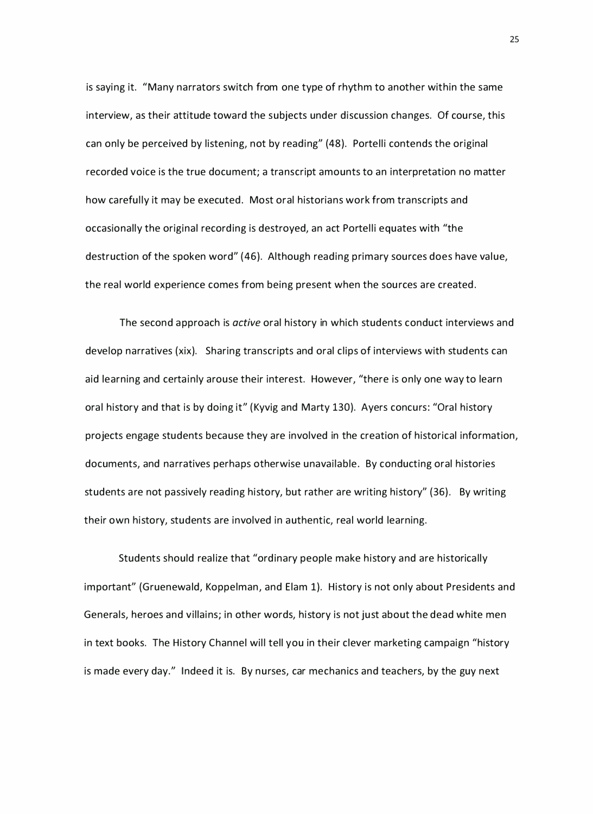is saying it. "Many narrators switch from one type of rhythm to another within the same interview, as their attitude toward the subjects under discussion changes. Of course, this can only be perceived by listening, not by reading" (48). Portelli contends the original recorded voice is the true document; a transcript amounts to an interpretation no matter how carefully it may be executed. Most oral historians work from transcripts and occasionally the original recording is destroyed, an act Portelli equates with "the destruction of the spoken word" (46). Although reading primary sources does have value, the real world experience comes from being present when the sources are created.

The second approach is *active* oral history in which students conduct interviews and develop narratives (xix). Sharing transcripts and oral clips of interviews with students can aid learning and certainly arouse their interest. However, "there is only one way to learn oral history and that is by doing it" ( Kyvig and Marty 130). Ayers concurs: "Oral history projects engage students because they are involved in the creation of historical information, documents, and narratives perhaps otherwise unavailable. By conducting oral histories students are not passively reading history, but rather are writing history" (36). By writing their own history, students are involved in authentic, real world learning.

Students should realize that "ordinary people make history and are historically important" (Gruenewald, Koppelman, and Elam 1). History is not only about Presidents and Generals, heroes and villains; in other words, history is not just about the dead white men in text books. The History Channel will tell you in their clever marketing campaign "history is made every day." Indeed it is. By nurses, car mechanics and teachers, by the guy next

25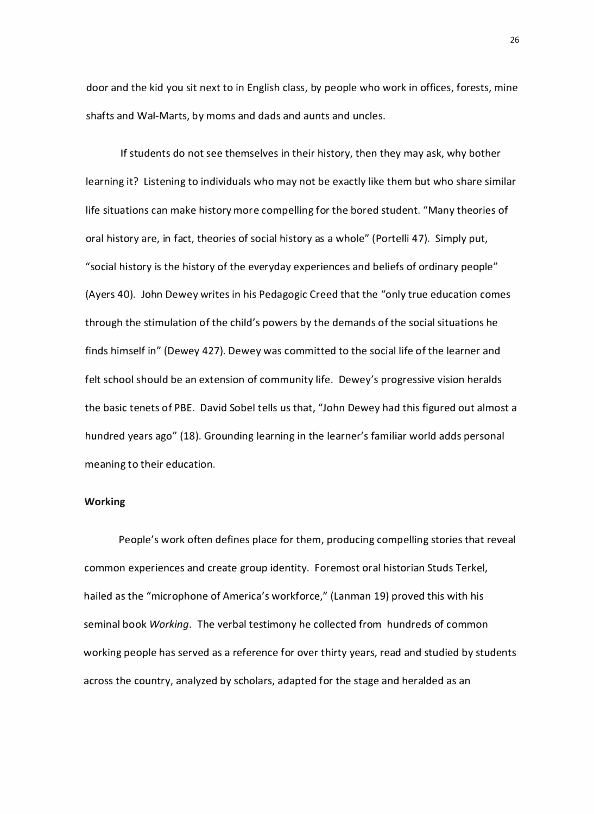door and the kid you sit next to in English class, by people who work in offices, forests, mine shafts and Wal-Marts, by moms and dads and aunts and uncles.

If students do not see themselves in their history, then they may ask, why bother learning it? Listening to individuals who may not be exactly like them but who share similar life situations can make history more compelling for the bored student. "Many theories of oral history are, in fact, theories of social history as a whole" ( Portelli 47). Simply put, "social history is the history of the everyday experiences and beliefs of ordinary people" (Ayers 40). John Dewey writes in his Pedagogic Creed that the "only true education comes through the stimulation of the child's powers by the demands of the social situations he finds himself in" (Dewey 427). Dewey was committed to the social life of the learner and felt school should be an extension of community life. Dewey's progressive vision heralds the basic tenets of PBE. David Sobel tells us that, "John Dewey had this figured out almost a hundred years ago" (18). Grounding learning in the learner's familiar world adds personal meaning to their education.

#### Working

People's work often defines place for them, producing compelling stories that reveal common experiences and create group identity. Foremost oral historian Studs Terkel, hailed as the "microphone of America's workforce," (Lanman 19) proved this with his seminal book Working. The verbal testimony he collected from hundreds of common working people has served as a reference for over thirty years, read and studied by students across the country, analyzed by scholars, adapted for the stage and heralded as an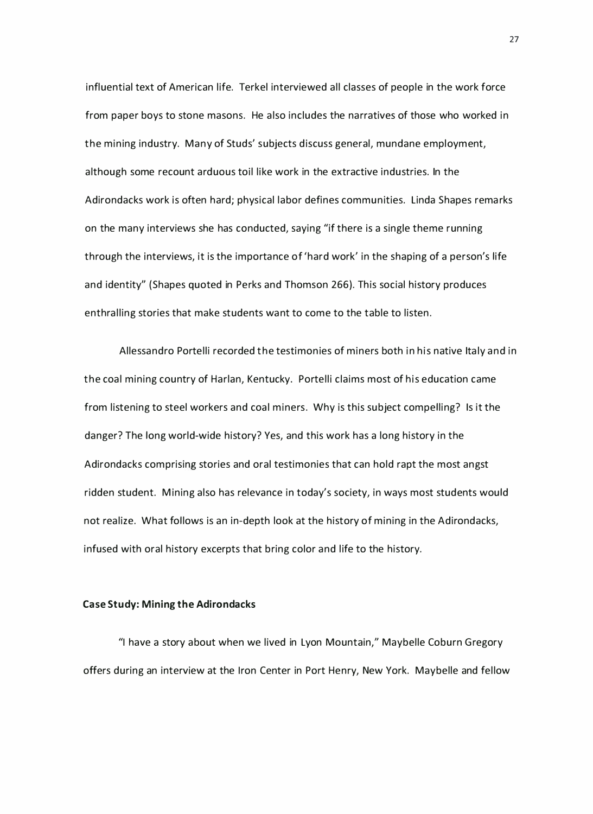influential text of American life. Terkel interviewed all classes of people in the work force from paper boys to stone masons. He also includes the narratives of those who worked in the mining industry. Many of Studs' subjects discuss general, mundane employment, although some recount arduous toil like work in the extractive industries. In the Adirondacks work is often hard; physical labor defines communities. Linda Shapes remarks on the many interviews she has conducted, saying "if there is a single theme running through the interviews, it is the importance of 'hard work' in the shaping of a person's life and identity" (Shapes quoted in Perks and Thomson 266). This social history produces enthralling stories that make students want to come to the table to listen.

Allessandro Portelli recorded the testimonies of miners both in his native Italy and in the coal mining country of Harlan, Kentucky. Portelli claims most of his education came from listening to steel workers and coal miners. Why is this subject compelling? Is it the danger? The long world-wide history? Yes, and this work has a long history in the Adirondacks comprising stories and oral testimonies that can hold rapt the most angst ridden student. Mining also has relevance in today's society, in ways most students would not realize. What follows is an in-depth look at the history of mining in the Adirondacks, infused with oral history excerpts that bring color and life to the history.

#### Case Study: Mining the Adirondacks

"I have a story about when we lived in Lyon Mountain," Maybelle Coburn Gregory offers during an interview at the Iron Center in Port Henry, New York. Maybelle and fellow

27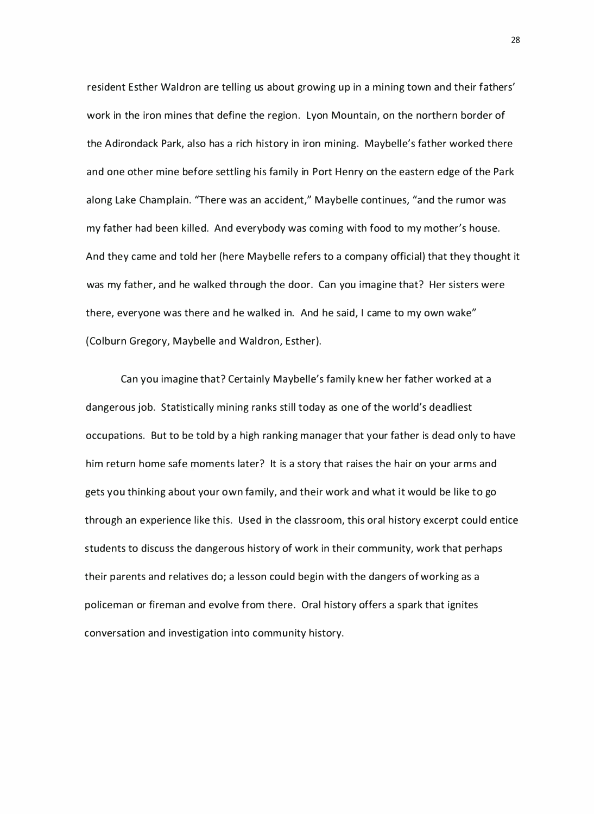resident Esther Waldron are telling us about growing up in a mining town and their fathers' work in the iron mines that define the region. Lyon Mountain, on the northern border of the Adirondack Park, also has a rich history in iron mining. Maybelle's father worked there and one other mine before settling his family in Port Henry on the eastern edge of the Park along Lake Champlain. "There was an accident," Maybelle continues, "and the rumor was my father had been killed. And everybody was coming with food to my mother's house. And they came and told her (here Maybelle refers to a company official) that they thought it was my father, and he walked through the door. Can you imagine that? Her sisters were there, everyone was there and he walked in. And he said, I came to my own wake" (Colburn Gregory, Maybelle and Waldron, Esther).

Can you imagine that? Certainly Maybelle's family knew her father worked at a dangerous job. Statistically mining ranks still today as one of the world's deadliest occupations. But to be told by a high ranking manager that your father is dead only to have him return home safe moments later? It is a story that raises the hair on your arms and gets you thinking about your own family, and their work and what it would be like to go through an experience like this. Used in the classroom, this oral history excerpt could entice students to discuss the dangerous history of work in their community, work that perhaps their parents and relatives do; a lesson could begin with the dangers of working as a policeman or fireman and evolve from there. Oral history offers a spark that ignites conversation and investigation into community history.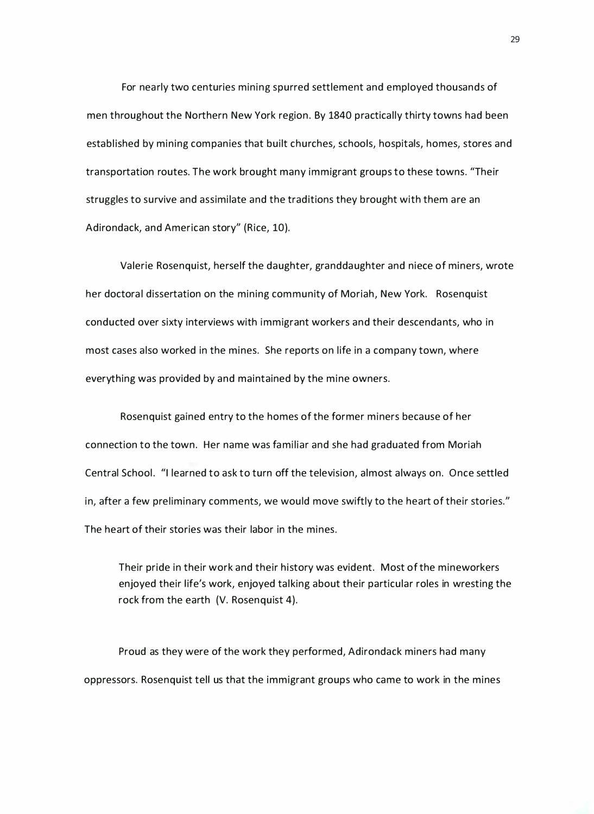For nearly two centuries mining spurred settlement and employed thousands of men throughout the Northern New York region. By 1840 practically thirty towns had been established by mining companies that built churches, schools, hospitals, homes, stores and transportation routes. The work brought many immigrant groups to these towns. "Their struggles to survive and assimilate and the traditions they brought with them are an Adirondack, and American story" (Rice, 10).

Valerie Rosenquist, herself the daughter, grandda ughter and niece of miners, wrote her doctoral dissertation on the mining community of Moriah, New York. Rosenquist conducted over sixty interviews with immigrant workers and their descendants, who in most cases also worked in the mines. She reports on life in a company town, where everything was provided by and maintained by the mine owners.

Rosenquist gained entry to the homes of the former miners because of her connection to the town. Her name was familiar and she had graduated from Moriah Central School. "I learned to ask to turn off the television, almost always on. Once settled in, after a few preliminary comments, we would move swiftly to the heart of their stories." The heart of their stories was their labor in the mines.

Their pride in their work and their history was evident. Most of the mineworkers enjoyed their life's work, enjoyed talking about their particular roles in wresting the rock from the earth (V. Rosenquist 4).

Proud as they were of the work they performed, Adirondack miners had many oppressors. Rosenquist tell us that the immigrant groups who came to work in the mines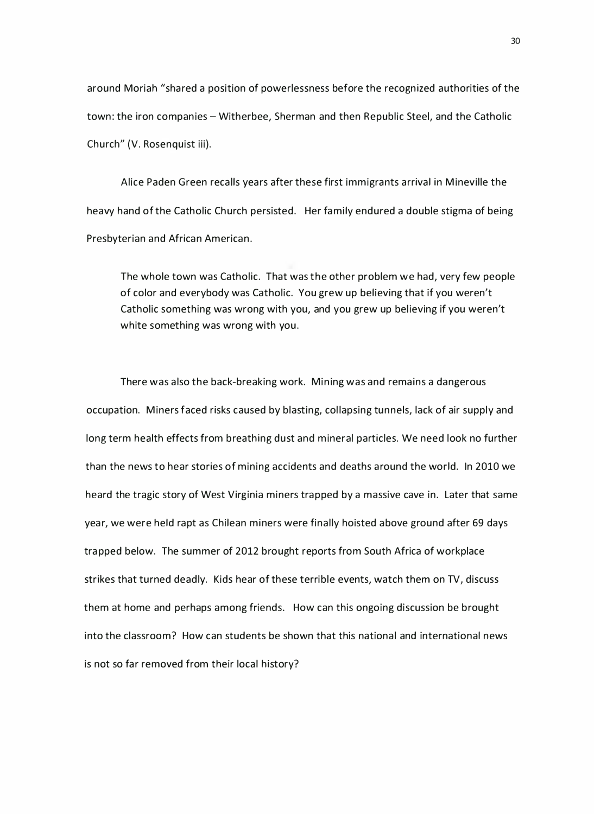around Moriah "shared a position of powerlessness before the recognized authorities of the town: the iron companies – Witherbee, Sherman and then Republic Steel, and the Catholic Church" (V. Rosenquist iii).

Alice Paden Green recalls years after these first immigrants arrival in Mineville the heavy hand of the Catholic Church persisted. Her family endured a double stigma of being Presbyterian and African American.

The whole town was Catholic. That was the other problem we had, very few people of color and everybody was Catholic. You grew up believing that if you weren't Catholic something was wrong with you, and you grew up believing if you weren't white something was wrong with you.

There was also the back-breaking work. Mining was and remains a dangerous occupation. Miners faced risks caused by blasting, collapsing tunnels, lack of air supply and long term health effects from breathing dust and mineral particles. We need look no further than the news to hear stories of mining accidents and deaths around the world. In 2010 we heard the tragic story of West Virginia miners trapped by a massive cave in. Later that same year, we were held rapt as Chilean miners were finally hoisted above ground after 69 days tra pped below. The summer of 2012 brought reports from South Africa of workplace strikes that turned deadly. Kids hear of these terrible events, watch them on TV, discuss them at home and perhaps among friends. How can this ongoing discussion be brought into the classroom? How can students be shown that this national and international news is not so far removed from their local history?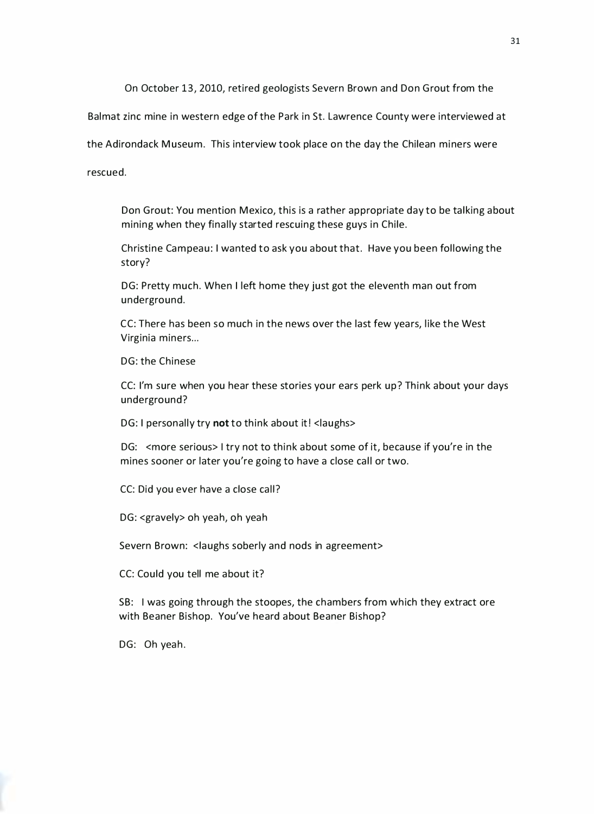On October 13, 2010, retired geologists Severn Brown and Don Grout from the

Balmat zinc mine in western edge of the Park in St. Lawrence County were interviewed at

the Adirondack Museum. This interview took place on the day the Chilean miners were

rescued.

Don Grout: You mention Mexico, this is a rather appropriate day to be talking about mining when they finally started rescuing these guys in Chile.

Christine Campeau: I wanted to ask you about that. Have you been following the story?

DG: Pretty much. When I left home they just got the eleventh man out from underground.

CC: There has been so much in the news over the last few years, like the West Virginia miners...

DG: the Chinese

CC: I'm sure when you hear these stories your ears perk up? Think about your days underground?

DG: I personally try not to think about it! < laughs>

DG: <more serious> I try not to think about some of it, because if you're in the mines sooner or later you're going to have a close call or two.

CC: Did you ever have a close call?

DG: <gravely> oh yeah, oh yeah

Severn Brown: <laughs soberly and nods in agreement>

CC: Could you tell me about it?

SB: I was going through the stoopes, the chambers from which they extract ore with Beaner Bishop. You've heard about Beaner Bishop?

DG: Oh yeah.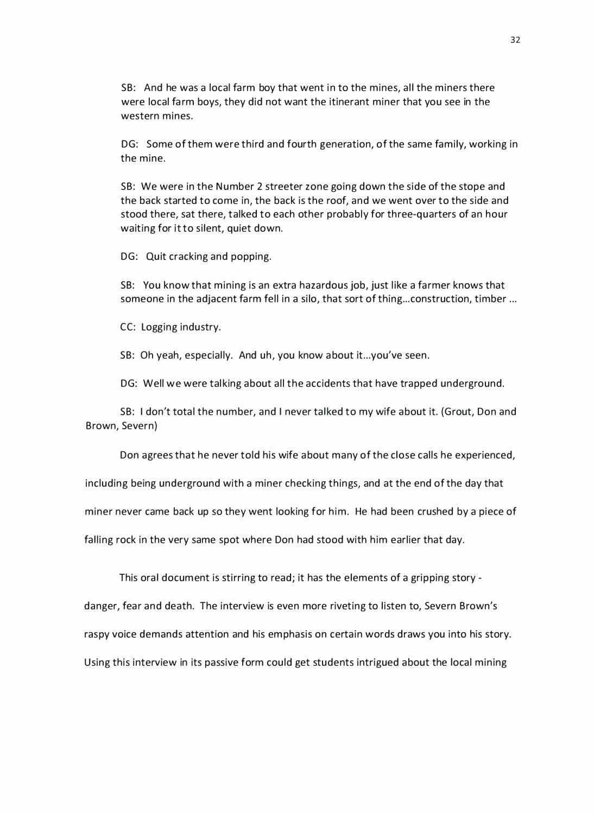SB: And he was a local farm boy that went in to the mines, all the miners there were local farm boys, they did not want the itinerant miner that you see in the western mines.

DG: Some of them were third and fourth generation, of the same family, working in the mine.

SB: We were in the Number 2 streeter zone going down the side of the stope and the back started to come in, the back is the roof, and we went over to the side and stood there, sat there, talked to each other probably for three-quarters of an hour waiting for it to silent, quiet down.

DG: Quit cracking and popping.

SB: You know that mining is an extra hazardous job, just like a farmer knows that someone in the adjacent farm fell in a silo, that sort of thing... construction, timber ...

CC: Logging industry.

SB: Oh yeah, especially. And uh, you know about it...you've seen.

DG: Well we were talking about all the accidents that have trapped underground.

SB: I don't total the number, and I never talked to my wife about it. (Grout, Don and Brown, Severn)

Don agrees that he never told his wife a bout many of the close calls he experienced,

including being underground with a miner checking things, and at the end of the day that

miner never came back up so they went looking for him. He had been crushed by a piece of

falling rock in the very same spot where Don had stood with him earlier that day.

This oral document is stirring to read; it has the elements of a gripping story -

danger, fear and death. The interview is even more riveting to listen to, Severn Brown's

raspy voice demands attention and his emphasis on certain words draws you into his story.

Using this interview in its passive form could get students intrigued a bout the local mining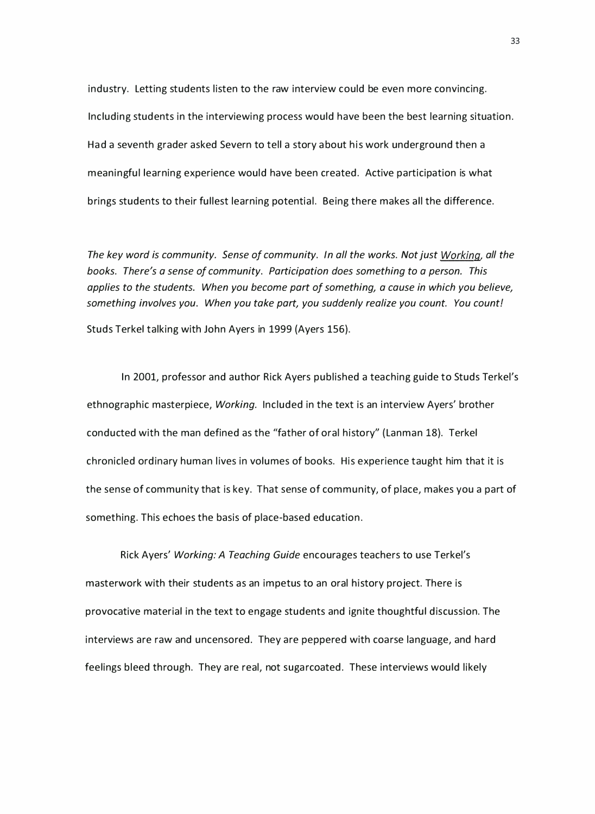industry. Letting students listen to the raw interview could be even more convincing. Including students in the interviewing process would have been the best learning situation. Had a seventh grader asked Severn to tell a story a bout his work underground then a meaningful learning experience would have been created. Active participation is what brings students to their fullest learning potential. Being there makes all the difference.

The key word is community. Sense of community. In all the works. Not just Working, all the books. There's a sense of community. Participation does something to a person. This applies to the students. When you become part of something, a cause in which you believe, something involves you. When you take part, you suddenly realize you count. You count! Studs Terkel talking with John Ayers in 1999 (Ayers 156).

In 2001, professor and author Rick Ayers published a teaching guide to Studs Terkel's ethnographic masterpiece, Working. Included in the text is an interview Ayers' brother conducted with the man defined as the "father of oral history" (Lanman 18). Terkel chronicled ordinary human lives in volumes of books. His experience taught him that it is the sense of community that is key. That sense of community, of place, makes you a part of something. This echoes the basis of place-based education.

Rick Ayers' Working: A Teaching Guide encourages teachers to use Terkel's masterwork with their students as an impetus to an oral history project. There is provocative material in the text to engage students and ignite thoughtful discussion. The interviews are raw and uncensored. They are peppered with coarse language, and hard feelings bleed through. They are real, not sugarcoated. These interviews would likely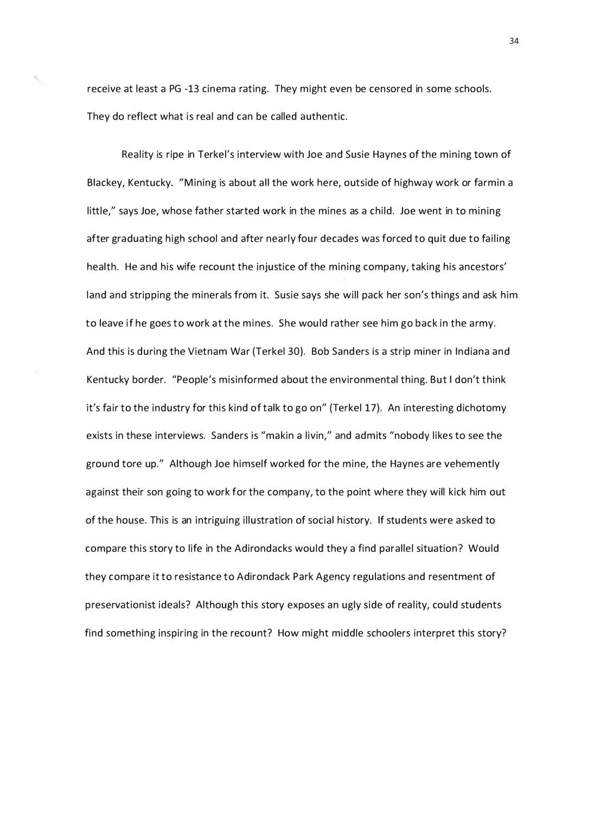receive at least a PG -13 cinema rating. They might even be censored in some schools. They do reflect what is real and can be called authentic.

Reality is ripe in Terkel's interview with Joe and Susie Haynes of the mining town of Blackey, Kentucky. "Mining is about all the work here, outside of highway work or farmin a little," says Joe, whose father started work in the mines as a child. Joe went in to mining after graduating high school and after nearly four decades was forced to quit due to failing health. He and his wife recount the injustice of the mining company, taking his ancestors' land and stripping the minerals from it. Susie says she will pack her son's things and ask him to leave if he goes to work at the mines. She would rather see him go back in the army. And this is during the Vietnam War (Terkel 30). Bob Sanders is a strip miner in Indiana and Kentucky border. "People's misinformed a bout the environmental thing. But I don't think it's fair to the industry for this kind of talk to go on" (Terkel 17). An interesting dichotomy exists in these interviews. Sanders is "makin a livin," and admits "nobody likes to see the ground tore up." Although Joe himself worked for the mine, the Haynes are vehemently against their son going to work for the company, to the point where they will kick him out of the house. This is an intriguing illustration of social history. If students were asked to compare this story to life in the Adirondacks would they a find parallel situation? Would they compare it to resistance to Adirondack Park Agency regulations and resentment of preservationist ideals? Although this story exposes an ugly side of reality, could students find something inspiring in the recount? How might middle schoolers interpret this story?

34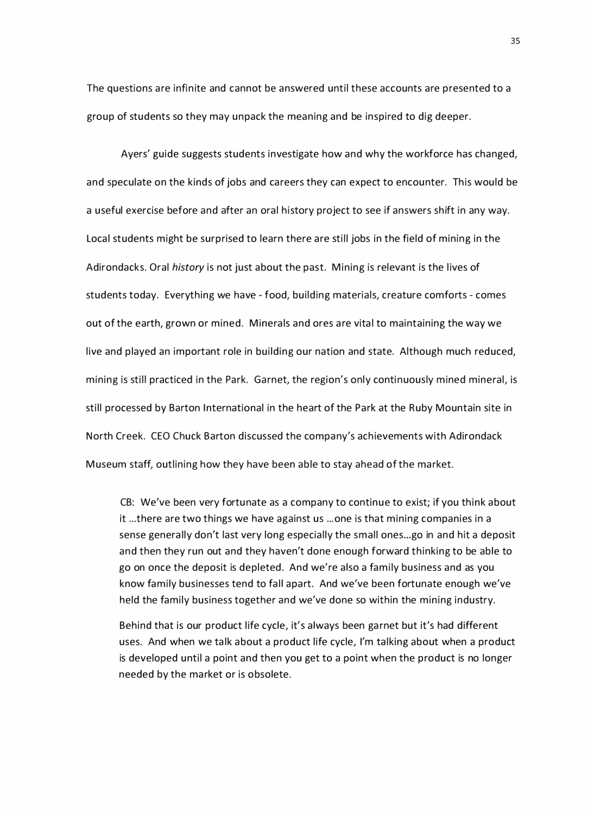The questions are infinite and cannot be answered until these accounts are presented to a group of students so they may unpack the meaning and be inspired to dig deeper.

Ayers' guide suggests students investigate how and why the workforce has changed, and speculate on the kinds of jobs and careers they can expect to encounter. This would be a useful exercise before and after an oral history project to see if answers shift in any way. Local students might be surprised to learn there are still jobs in the field of mining in the Adirondacks. Oral history is not just about the past. Mining is relevant is the lives of students today. Everything we have - food, building materials, creature comforts - comes out of the earth, grown or mined. Minerals and ores are vital to maintaining the way we live and played an important role in building our nation and state. Although much reduced, mining is still practiced in the Park. Garnet, the region's only continuously mined mineral, is still processed by Barton International in the heart of the Park at the Ruby Mountain site in North Creek. CEO Chuck Barton discussed the company's achievements with Adirondack Museum staff, outlining how they have been able to stay ahead of the market.

CB: We've been very fortunate as a company to continue to exist; if you think about it ... there are two things we have against us ... one is that mining companies in a sense generally don't last very long especially the small ones...go in and hit a deposit and then they run out and they haven't done enough forward thinking to be able to go on once the deposit is depleted. And we're also a family business and as you know family businesses tend to fall apart. And we've been fortunate enough we've held the family business together and we've done so within the mining industry.

Behind that is our product life cycle, it's always been garnet but it's had different uses. And when we talk about a product life cycle, I'm talking about when a product is developed until a point and then you get to a point when the product is no longer needed by the market or is obsolete.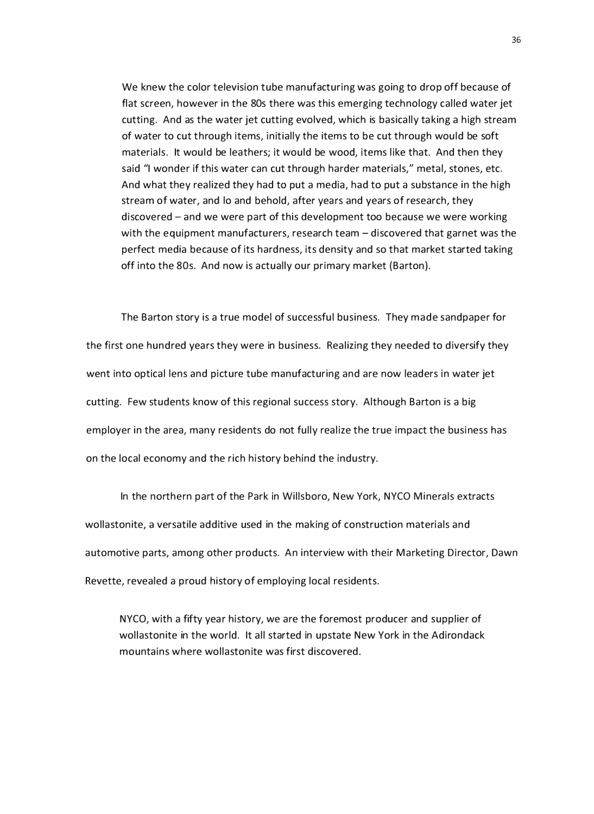We knew the color television tube manufacturing was going to drop off because of flat screen, however in the 80s there was this emerging technology called water jet cutting. And as the water jet cutting evolved, which is basically taking a high stream of water to cut through items, initially the items to be cut through would be soft materials. It would be leathers; it would be wood, items like that. And then they said "I wonder if this water can cut through harder materials," metal, stones, etc. And what they realized they had to put a media, had to put a substance in the high stream of water, and lo and behold, after years and years of research, they discovered - and we were part of this development too because we were working with the equipment manufacturers, research team  $-$  discovered that garnet was the perfect media because of its hardness, its density and so that market started taking off into the 80s. And now is actually our primary market (Barton).

The Barton story is a true model of successful business. They made sandpaper for the first one hundred years they were in business. Realizing they needed to diversify they went into optical lens and picture tube manufacturing and are now leaders in water jet cutting. Few students know of this regional success story. Although Barton is a big employer in the area, many residents do not fully realize the true impact the business has on the local economy and the rich history behind the industry.

In the northern part of the Park in Willsboro, New York, NYCO Minerals extracts wollastonite, a versatile additive used in the making of construction materials and automotive parts, among other products. An interview with their Marketing Director, Dawn Revette, revealed a proud history of employing local residents.

NYCO, with a fifty year history, we are the foremost producer and supplier of wollastonite in the world. It all started in upstate New York in the Adirondack mountains where wollastonite was first discovered.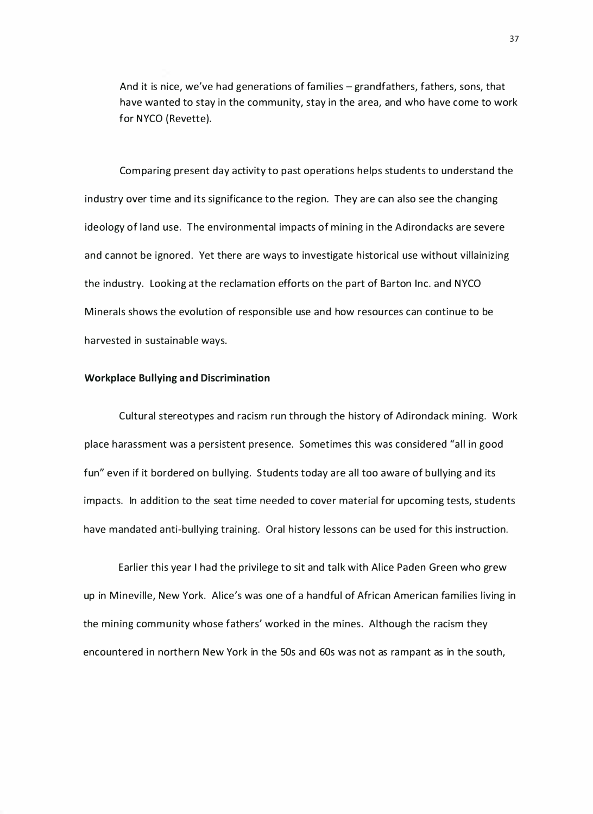And it is nice, we've had generations of families  $-$  grandfathers, fathers, sons, that have wanted to stay in the community, stay in the area, and who have come to work for NYCO (Revette).

Comparing present day activity to past operations helps students to understand the industry over time and its significance to the region. They are can also see the changing ideology of land use. The environmental impacts of mining in the Adirondacks are severe and cannot be ignored. Yet there are ways to investigate historical use without villainizing the industry. Looking at the reclamation efforts on the part of Barton Inc. and NYCO Minerals shows the evolution of responsible use and how resources can continue to be harvested in sustainable ways.

#### Workplace Bullying and Discrimination

Cultural stereotypes and racism run through the history of Adirondack mining. Work place harassment was a persistent presence. Sometimes this was considered "all in good fun" even if it bordered on bullying. Students today are all too aware of bullying and its impacts. In addition to the seat time needed to cover material for upcoming tests, students have mandated anti-bullying training. Oral history lessons can be used for this instruction.

Earlier this year I had the privilege to sit and talk with Alice Paden Green who grew up in Mineville, New York. Alice's was one of a handful of African American families living in the mining community whose fathers' worked in the mines. Although the racism they encountered in northern New York in the 50s and 60s was not as rampant as in the south,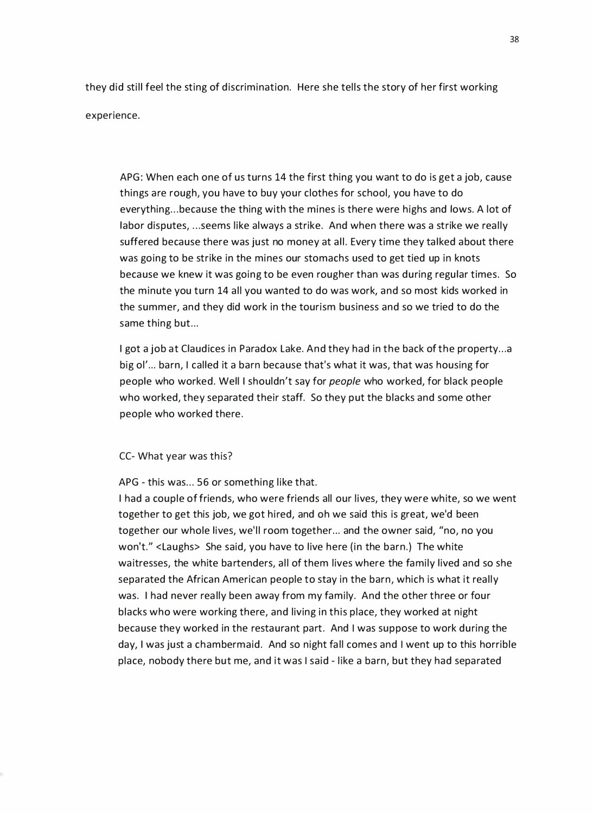they did still feel the sting of discrimination. Here she tells the story of her first working experience.

APG: When each one of us turns 14 the first thing you want to do is get a job, cause things are rough, you have to buy your clothes for school, you have to do everything... because the thing with the mines is there were highs and lows. A lot of labor disputes, ... seems like always a strike. And when there was a strike we really suffered because there was just no money at all. Every time they talked about there was going to be strike in the mines our stomachs used to get tied up in knots because we knew it was going to be even rougher than was during regular times. So the minute you turn 14 all you wanted to do was work, and so most kids worked in the summer, and they did work in the tourism business and so we tried to do the same thing but...

I got a job at Claudices in Paradox Lake. And they had in the back of the property...a big ol' ... barn, I called it a barn because that's what it was, that was housing for people who worked. Well I shouldn't say for people who worked, for black people who worked, they separated their staff. So they put the blacks and some other people who worked there.

#### CC- What year was this?

APG - this was... 56 or something like that.

I had a couple of friends, who were friends all our lives, they were white, so we went together to get this job, we got hired, and oh we said this is great, we'd been together our whole lives, we'll room together... and the owner said, "no, no you won't." <Laughs> She said, you have to live here (in the barn.) The white waitresses, the white bartenders, all of them lives where the family lived and so she separated the African American people to stay in the barn, which is what it really was. I had never really been away from my family. And the other three or four blacks who were working there, and living in this place, they worked at night because they worked in the restaurant part. And I was suppose to work during the day, I was just a chambermaid. And so night fall comes and I went up to this horrible place, nobody there but me, and it was I said - like a barn, but they had separated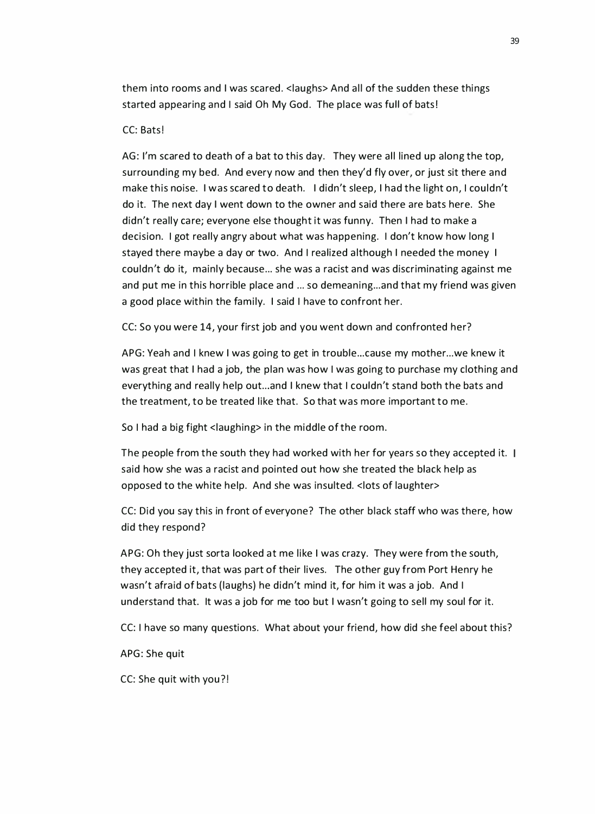them into rooms and I was scared. <laughs> And all of the sudden these things started appearing and I said Oh My God. The place was full of bats!

#### CC: Bats!

AG: I'm scared to death of a bat to this day. They were all lined up along the top, surrounding my bed. And every now and then they'd fly over, or just sit there and make this noise. I was scared to death. I didn't sleep, I had the light on, I couldn't do it. The next day I went down to the owner and said there are bats here. She didn't really care; everyone else thought it was funny. Then I had to make a decision. I got really angry a bout what was happening. I don't know how long I stayed there maybe a day or two. And I realized although I needed the money I couldn't do it, mainly because... she was a racist and was discriminating against me and put me in this horrible place and ... so demeaning... and that my friend was given a good place within the family. I said I have to confront her.

CC: So you were 14, your first job and you went down and confronted her?

APG: Yeah and I knew I was going to get in trouble ... cause my mother ... we knew it was great that I had a job, the plan was how I was going to purchase my clothing and everything and really help out...and I knew that I couldn't stand both the bats and the treatment, to be treated like that. So that was more important to me.

So I had a big fight <laughing> in the middle of the room.

The people from the south they had worked with her for years so they accepted it. I said how she was a racist and pointed out how she treated the black help as opposed to the white help. And she was insulted. <lots of laughter>

CC: Did you say this in front of everyone? The other black staff who was there, how did they respond?

APG: Oh they just sorta looked at me like I was crazy. They were from the south, they accepted it, that was part of their lives. The other guy from Port Henry he wasn't afraid of bats (laughs) he didn't mind it, for him it was a job. And I understand that. It was a job for me too but I wasn't going to sell my soul for it.

CC: I have so many questions. What about your friend, how did she feel about this?

APG: She quit

CC: She quit with you?!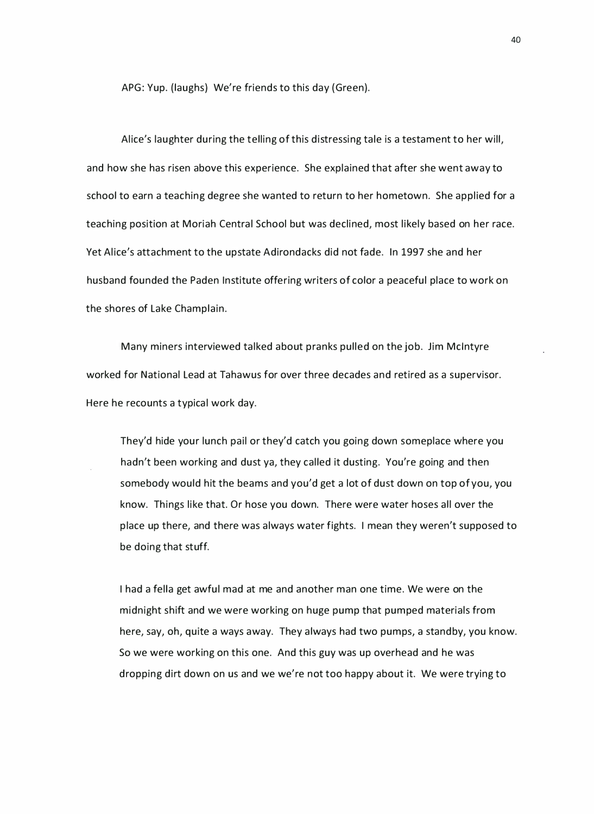APG: Yup. (laughs) We're friends to this day (Green).

Alice's laughter during the telling of this distressing tale is a testament to her will, and how she has risen above this experience. She explained that after she went away to school to earn a teaching degree she wanted to return to her hometown. She applied for a teaching position at Moriah Central School but was declined, most likely based on her race. Yet Alice's attachment to the upstate Adirondacks did not fade. In 1997 she and her husband founded the Paden Institute offering writers of color a peaceful place to work on the shores of Lake Champlain.

Many miners interviewed talked about pranks pulled on the job. Jim Mcintyre worked for National Lead at Tahawus for over three decades and retired as a supervisor. Here he recounts a typical work day.

They'd hide your lunch pail or they'd catch you going down someplace where you hadn't been working and dust ya, they called it dusting. You're going and then somebody would hit the beams and you'd get a lot of dust down on top of you, you know. Things like that. Or hose you down. There were water hoses all over the p lace up there, and there was always water fights. I mean they weren't supposed to be doing that stuff.

I had a fella get awful mad at me and another man one time. We were on the midnight shift and we were working on huge pump that pumped materials from here, say, oh, quite a ways away. They always had two pumps, a standby, you know. So we were working on this one. And this guy was up overhead and he was dropping dirt down on us and we we're not too happy about it. We were trying to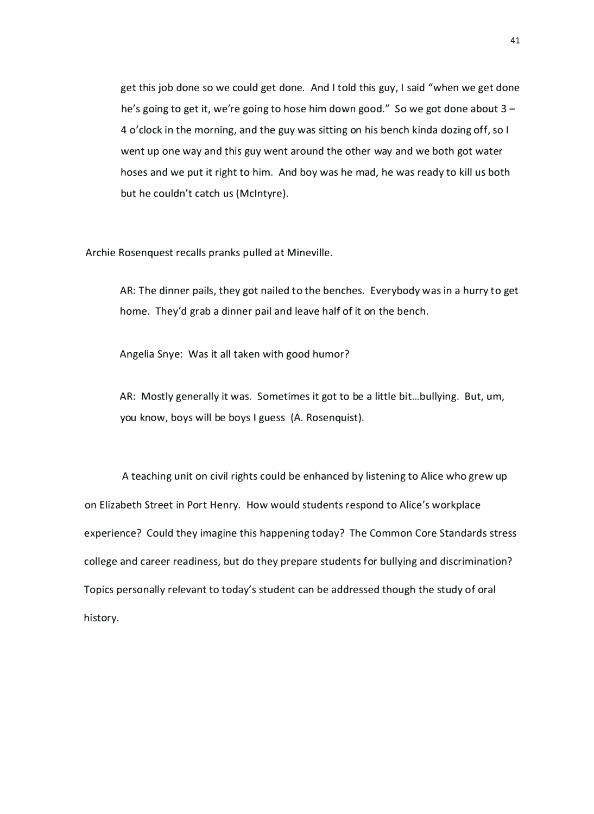get this job done so we could get done. And I told this guy, I said "when we get done he's going to get it, we're going to hose him down good." So we got done about  $3 -$ 4 o'clock in the morning, and the guy was sitting on his bench kinda dozing off, so I went up one way and this guy went around the other way and we both got water hoses and we put it right to him. And boy was he mad, he was ready to kill us both but he couldn't catch us { Mcintyre).

Archie Rosenquest recalls pranks pulled at Mineville.

AR: The dinner pails, they got nailed to the benches. Everybody was in a hurry to get home. They'd grab a dinner pail and leave half of it on the bench.

Angelia Snye: Was it all taken with good humor?

AR: Mostly generally it was. Sometimes it got to be a little bit...bullying. But, um, you know, boys will be boys I guess (A. Rosenquist).

A teaching unit on civil rights could be enhanced by listening to Alice who grew up on Elizabeth Street in Port Henry. How would students respond to Alice's workplace experience? Could they imagine this happening today? The Common Core Standards stress college and career readiness, but do they prepare students for bullying and discrimination? Topics personally relevant to today's student can be addressed though the study of oral history.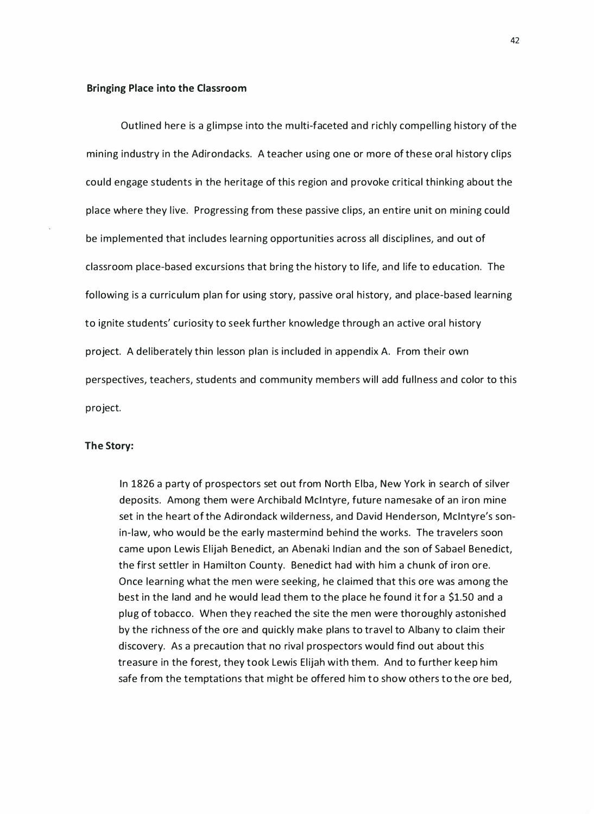#### Bringing Place into the Classroom

Outlined here is a glimpse into the multi-faceted and richly compelling history of the mining industry in the Adirondacks. A teacher using one or more of these oral history clips could engage students in the heritage of this region and provoke critical thinking about the place where they live. Progressing from these passive clips, an entire unit on mining could be implemented that includes learning opportunities across all disciplines, and out of classroom place-based excursions that bring the history to life, and life to education. The following is a curriculum plan for using story, passive oral history, and place-based learning to ignite students' curiosity to seek further knowledge through an active oral history project. A deliberately thin lesson plan is included in appendix A. From their own perspectives, teachers, students and community members will add fullness and color to this project.

#### The Story:

In 1826 a party of prospectors set out from North Elba, New York in search of silver deposits. Among them were Archibald Mcintyre, future namesake of an iron mine set in the heart of the Adirondack wilderness, and David Henderson, Mcintyre's sonin-law, who would be the early mastermind behind the works. The travelers soon came upon Lewis Elijah Benedict, an Abenaki Indian and the son of Sabael Benedict, the first settler in Hamilton County. Benedict had with him a chunk of iron ore. Once learning what the men were seeking, he claimed that this ore was among the best in the land and he would lead them to the place he found it for a \$1.50 and a plug of tobacco. When they reached the site the men were thoroughly astonished by the richness of the ore and quickly make plans to travel to Albany to claim their discovery. As a precaution that no rival prospectors would find out about this treasure in the forest, they took Lewis Elijah with them. And to further keep him safe from the temptations that might be offered him to show others to the ore bed,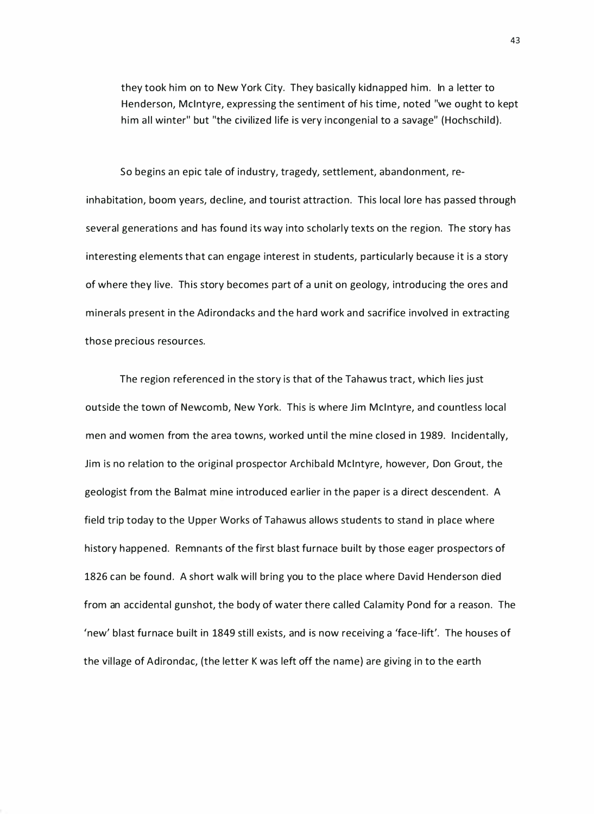they took him on to New York City. They basically kidnapped him. In a letter to Henderson, Mcintyre, expressing the sentiment of his time, noted "we ought to kept him all winter" but "the civilized life is very incongenial to a savage" (Hochschild).

So begins an epic tale of industry, tragedy, settlement, abandonment, reinhabitation, boom years, decline, and tourist attraction. This local lore has passed through several generations and has found its way into scholarly texts on the region. The story has interesting elements that can engage interest in students, particularly because it is a story of where they live. This story becomes part of a unit on geology, introducing the ores and minerals present in the Adirondacks and the hard work and sacrifice involved in extracting those precious resources.

The region referenced in the story is that of the Tahawus tract, which lies just outside the town of Newcomb, New York. This is where Jim Mcintyre, and countless local men and women from the area towns, worked until the mine closed in 1989. Incidentally, Jim is no relation to the original prospector Archibald Mcintyre, however, Don Grout, the geologist from the Balmat mine introduced earlier in the paper is a direct descendent. A field trip today to the Upper Works of Tahawus allows students to stand in place where history happened. Remnants of the first blast furnace built by those eager prospectors of 1826 can be found. A short walk will bring you to the place where David Henderson died from an accidental gunshot, the body of water there called Calamity Pond for a reason. The 'new' blast furnace built in 1849 still exists, and is now receiving a 'face-lift'. The houses of the vil lage of Adirondac, (the letter K was left off the name) are giving in to the earth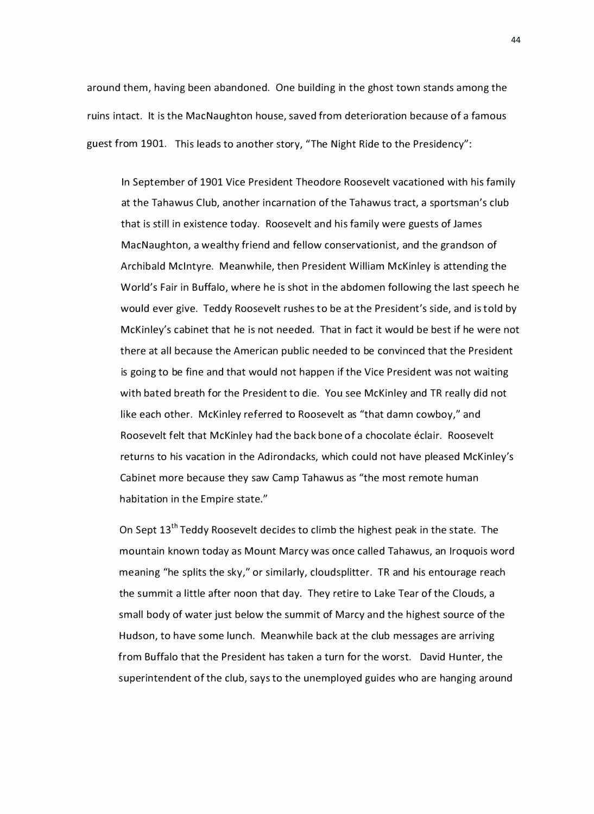around them, having been abandoned. One building in the ghost town stands among the ruins intact. It is the MacNaughton house, saved from deterioration because of a famous guest from 1901. This leads to another story, "The Night Ride to the Presidency":

In September of 1901 Vice President Theodore Roosevelt vacationed with his family at the Tahawus Club, another incarnation of the Tahawus tract, a sportsman's club that is still in existence today. Roosevelt and his family were guests of James MacNaughton, a wealthy friend and fellow conservationist, and the grandson of Archibald McIntyre. Meanwhile, then President William McKinley is attending the World's Fair in Buffalo, where he is shot in the abdomen following the last speech he would ever give. Teddy Roosevelt rushes to be at the President's side, and is told by McKinley's cabinet that he is not needed. That in fact it would be best if he were not there at all because the American public needed to be convinced that the President is going to be fine and that would not happen if the Vice President was not waiting with bated breath for the President to die. You see McKinley and TR really did not like each other. McKinley referred to Roosevelt as "that damn cowboy," and Roosevelt felt that McKinley had the back bone of a chocolate éclair. Roosevelt returns to his vacation in the Adirondacks, which could not have pleased McKinley's Cabinet more because they saw Camp Tahawus as "the most remote human habitation in the Empire state."

On Sept 13<sup>th</sup> Teddy Roosevelt decides to climb the highest peak in the state. The mountain known today as Mount Marcy was once called Tahawus, an Iroquois word meaning "he splits the sky," or similarly, cloudsplitter. TR and his entourage reach the summit a little after noon that day. They retire to Lake Tear of the Clouds, a small body of water just below the summit of Marcy and the highest source of the Hudson, to have some lunch. Meanwhile back at the club messages are arriving from Buffalo that the President has taken a turn for the worst. David Hunter, the superintendent of the club, says to the unemployed guides who are hanging around

44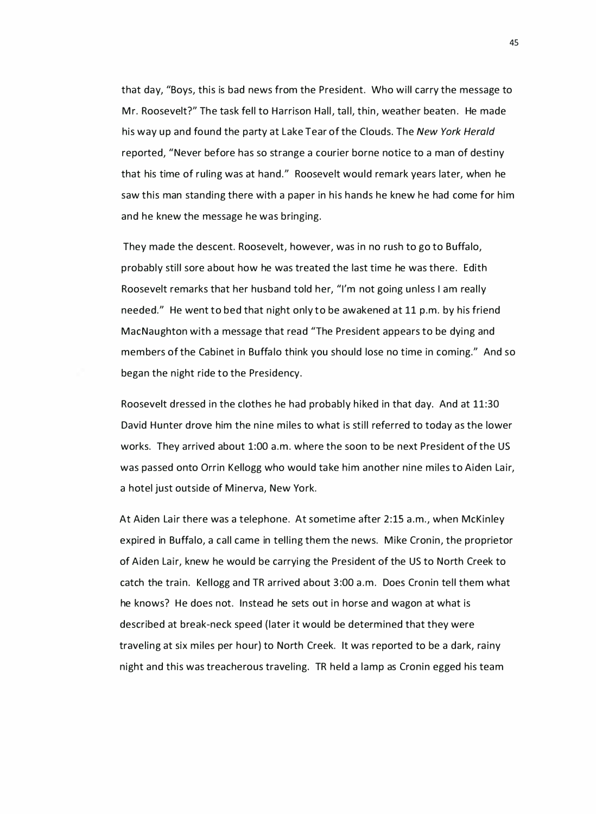that day, "Boys, this is bad news from the President. Who will carry the message to Mr. Roosevelt?" The task fell to Harrison Hall, tall, thin, weather beaten. He made his way up and found the party at Lake Tear of the Clouds. The New York Herald reported, "Never before has so strange a courier borne notice to a man of destiny that his time of ruling was at hand." Roosevelt would remark years later, when he saw this man standing there with a paper in his hands he knew he had come for him and he knew the message he was bringing.

They made the descent. Roosevelt, however, was in no rush to go to Buffalo, probably still sore about how he was treated the last time he was there. Edith Roosevelt remarks that her husband told her, "I'm not going unless I am really needed." He went to bed that night only to be awakened at 11 p.m. by his friend MacNaughton with a message that read "The President appears to be dying and members of the Cabinet in Buffalo think you should lose no time in coming." And so began the night ride to the Presidency.

Roosevelt dressed in the clothes he had probably hiked in that day. And at 11:30 David Hunter drove him the nine miles to what is still referred to today as the lower works. They arrived about 1:00 a.m. where the soon to be next President of the US was passed onto Orrin Kellogg who would take him another nine miles to Aiden Lair, a hotel just outside of Minerva, New York.

At Aiden Lair there was a telephone. At sometime after 2:15 a.m., when McKinley expired in Buffalo, a call came in telling them the news. Mike Cronin, the proprietor of Aiden Lair, knew he would be carrying the President of the US to North Creek to catch the train. Kellogg and TR arrived about 3:00 a.m. Does Cronin tell them what he knows? He does not. Instead he sets out in horse and wagon at what is described at break-neck speed (later it would be determined that they were traveling at six miles per hour) to North Creek. It was reported to be a dark, rainy night and this was treacherous traveling. TR held a lamp as Cronin egged his team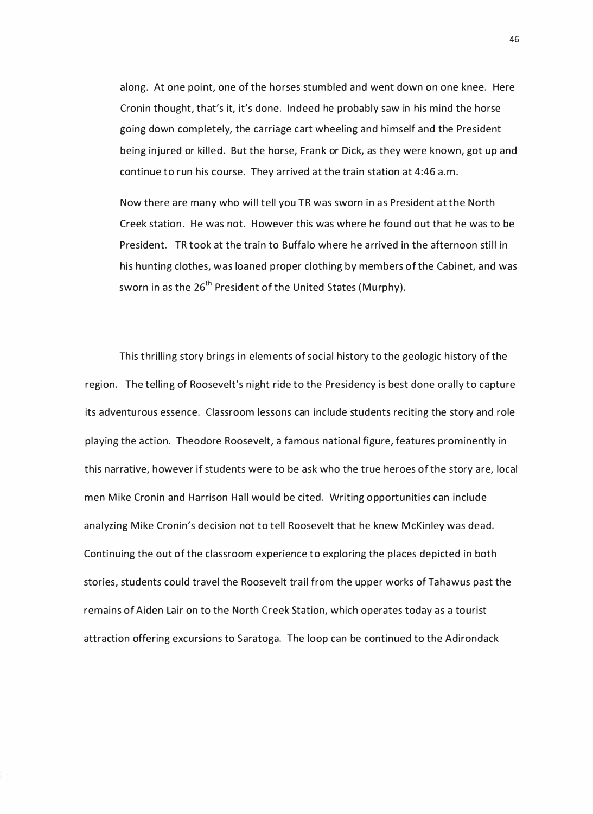along. At one point, one of the horses stumbled and went down on one knee. Here Cronin thought, that's it, it's done. Indeed he probably saw in his mind the horse going down completely, the carriage cart wheeling and himself and the President being injured or killed. But the horse, Frank or Dick, as they were known, got up and continue to run his course. They arrived at the train station at 4:46 a.m.

Now there are many who will tell you TR was sworn in as President at the North Creek station. He was not. However this was where he found out that he was to be President. TR took at the train to Buffalo where he arrived in the afternoon still in his hunting clothes, was loaned proper clothing by members of the Cabinet, a nd was sworn in as the 26<sup>th</sup> President of the United States (Murphy).

This thrilling story brings in elements of social history to the geologic history of the region. The telling of Roosevelt's night ride to the Presidency is best done orally to capture its adventurous essence. Classroom lessons can include students reciting the story and role playing the action. Theodore Roosevelt, a famous national figure, features prominently in this narrative, however if students were to be ask who the true heroes of the story are, local men Mike Cronin and Harrison Hall would be cited. Writing opportunities can include analyzing Mike Cronin's decision not to tell Roosevelt that he knew McKinley was dead. Continuing the out of the classroom experience to exploring the places depicted in both stories, students could travel the Roosevelt trail from the upper works of Tahawus past the remains of Aiden Lair on to the North Creek Station, which operates today as a tourist attraction offering excursions to Saratoga. The loop can be continued to the Adirondack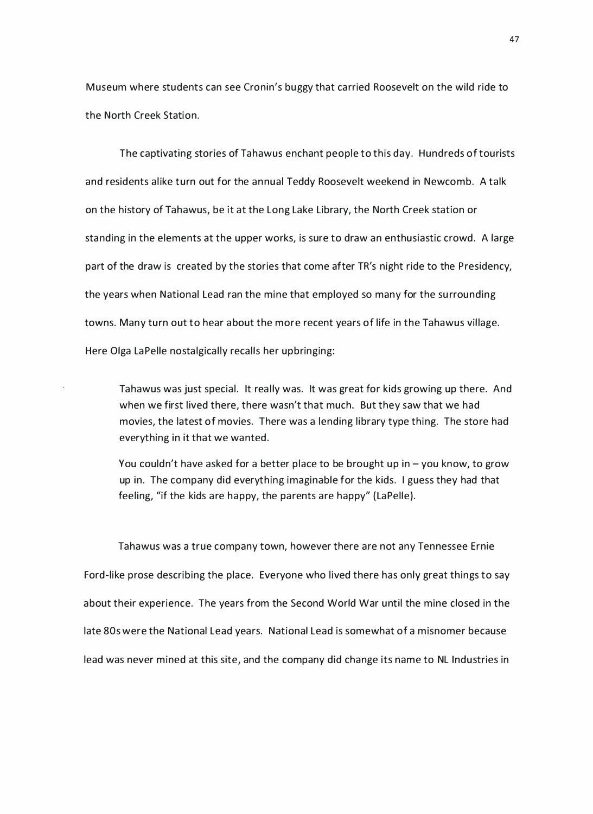Museum where students can see Cronin's buggy that carried Roosevelt on the wild ride to the North Creek Station.

The captivating stories of Tahawus enchant people to this day. Hundreds of tourists and residents alike turn out for the annual Teddy Roosevelt weekend in Newcomb. A talk on the history of Tahawus, be it at the Long Lake Library, the North Creek station or standing in the elements at the upper works, is sure to draw an enthusiastic crowd. A large part of the draw is created by the stories that come after TR's night ride to the Presidency, the years when National Lead ran the mine that employed so many for the surrounding towns. Many turn out to hear a bout the more recent years of life in the Tahawus village. Here Olga LaPelle nostalgically recalls her upbringing:

Tahawus was just special. It really was. It was great for kids growing up there. And when we first lived there, there wasn't that much. But they saw that we had movies, the latest of movies. There was a lending library type thing. The store had everything in it that we wanted.

You couldn't have asked for a better place to be brought up in  $-$  you know, to grow up in. The company did everything imaginable for the kids. I guess they had that feeling, "if the kids are happy, the parents are happy" (LaPelle).

Tahawus was a true company town, however there are not any Tennessee Ernie Ford-like prose describing the place. Everyone who lived there has only great things to say about their experience. The years from the Second World War until the mine closed in the late 80s were the National Lead years. National Lead is somewhat of a misnomer because lead was never mined at this site, and the company did change its name to NL Industries in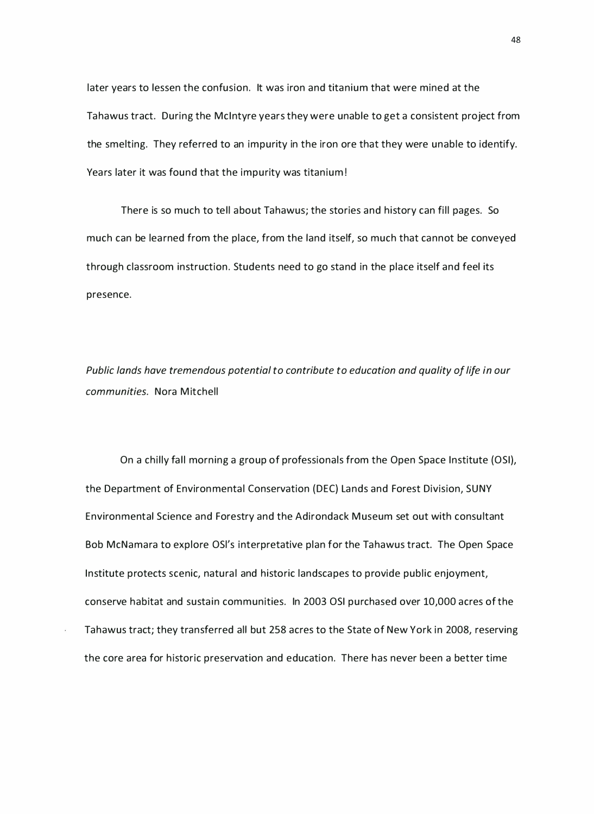later years to lessen the confusion. It was iron and titanium that were mined at the Tahawus tract. During the Mcintyre years they were unable to get a consistent project from the smelting. They referred to an impurity in the iron ore that they were unable to identify. Years later it was found that the impurity was titanium!

There is so much to tell about Tahawus; the stories and history can fill pages. So much can be learned from the place, from the land itself, so much that cannot be conveyed through classroom instruction. Students need to go stand in the place itself and feel its presence.

Public lands have tremendous potential to contribute to education and quality of life in our communities. Nora Mitchell

On a chilly fall morning a group of professionals from the Open Space Institute (OSI), the Department of Environmental Conservation (DEC) Lands and Forest Division, SUNY Environmental Science and Forestry and the Adirondack Museum set out with consultant Bob McNamara to explore OSl's interpretative plan for the Tahawus tract. The Open Space Institute protects scenic, natural and historic landscapes to provide public enjoyment, conserve habitat and sustain communities. In 2003 OSI purchased over 10,000 acres of the Tahawus tract; they transferred all but 258 acres to the State of New York in 2008, reserving the core area for historic preservation and education. There has never been a better time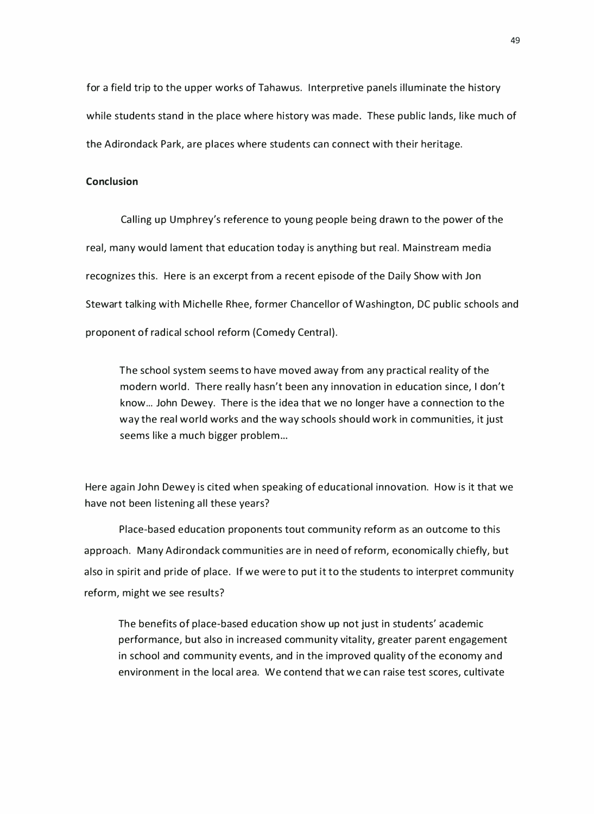for a field trip to the upper works of Tahawus. Interpretive panels illuminate the history while students stand in the place where history was made. These public lands, like much of the Adirondack Park, are places where students can connect with their heritage.

#### Conclusion

Calling up Umphrey's reference to young people being drawn to the power of the real, many would lament that education today is anything but real. Mainstream media recognizes this. Here is an excerpt from a recent episode of the Daily Show with Jon Stewart talking with Michelle Rhee, former Chancellor of Washington, DC public schools and proponent of radical school reform (Comedy Central).

The school system seems to have moved away from any practical reality of the modern world. There really hasn't been any innovation in education since, I don't know... John Dewey. There is the idea that we no longer have a connection to the way the real world works and the way schools should work in communities, it just seems like a much bigger problem...

Here again John Dewey is cited when speaking of educational innovation. How is it that we have not been listening all these years?

Place-based education proponents tout community reform as an outcome to this approach. Many Adirondack communities are in need of reform, economically chiefly, but also in spirit and pride of place. If we were to put it to the students to interpret community reform, might we see results?

The benefits of place-based education show up not just in students' academic performance, but also in increased community vitality, greater parent engagement in school and community events, and in the improved quality of the economy and environment in the local area. We contend that we can raise test scores, cultivate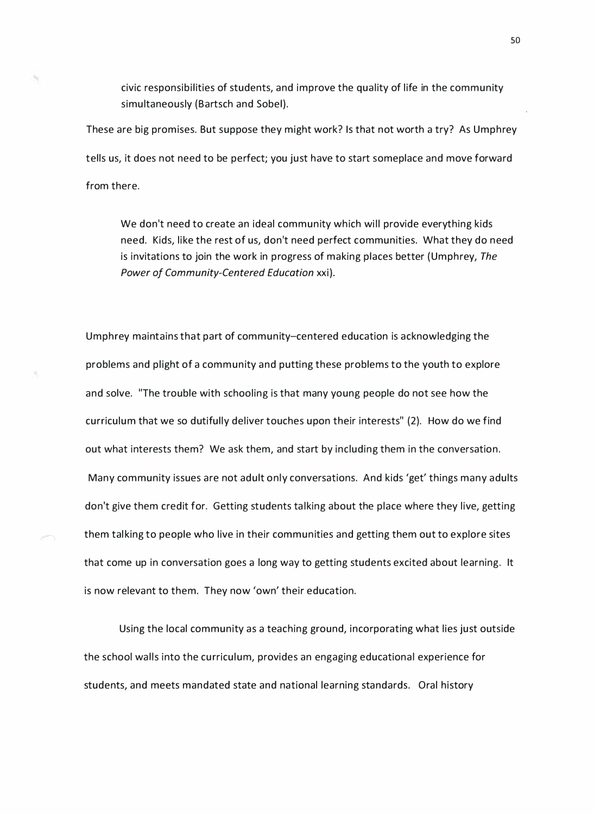civic responsibilities of students, and improve the quality of life in the community simultaneously (Bartsch and Sobel).

These are big promises. But suppose they might work? Is that not worth a try? As Umphrey tells us, it does not need to be perfect; you just have to start someplace and move forward from there.

We don't need to create an ideal community which will provide everything kids need. Kids, like the rest of us, don't need perfect communities. What they do need is invitations to join the work in progress of making places better (Umphrey, The Power of Community-Centered Education xxi).

Umphrey maintains that part of community-centered education is acknowledging the problems and plight of a community and putting these problems to the youth to explore and solve. "The trouble with schooling is that many young people do not see how the curriculum that we so dutifully deliver touches upon their interests" (2). How do we find out what interests them? We ask them, and start by including them in the conversation. Many community issues are not adult only conversations. And kids 'get' things many adults don't give them credit for. Getting students talking about the place where they live, getting them talking to people who live in their communities and getting them out to explore sites that come up in conversation goes a long way to getting students excited about learning. It is now relevant to them. They now 'own' their education.

Using the local community as a teaching ground, incorporating what lies just outside the school walls into the curriculum, provides an engaging educational experience for students, and meets mandated state and national learning standards. Oral history

so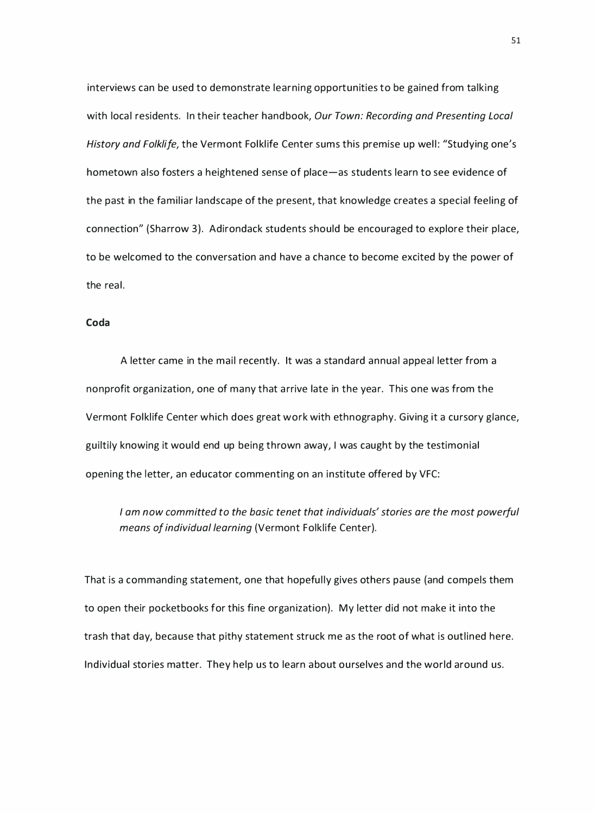interviews can be used to demonstrate learning opportunities to be gained from talking with local residents. In their teacher handbook, Our Town: Recording and Presenting Local History and Folklife, the Vermont Folklife Center sums this premise up well: "Studying one's hometown also fosters a heightened sense of place-as students learn to see evidence of the past in the familiar landscape of the present, that knowledge creates a special feeling of connection" (Sharrow 3). Adirondack students should be encouraged to explore their place, to be welcomed to the conversation and have a chance to become excited by the power of the real.

#### Coda

A letter came in the mail recently. It was a standard annual appeal letter from a nonprofit organization, one of many that a rrive late in the year. This one was from the Vermont Folklife Center which does great work with ethnography. Giving it a cursory glance, guiltily knowing it would end up being thrown away, I was caught by the testimonial opening the letter, an educator commenting on an institute offered by VFC:

I am now committed to the basic tenet that individuals' stories are the most powerful means of individual learning {Vermont Folklife Center).

That is a commanding statement, one that hopefully gives others pause (and compels them to open their pocketbooks for this fine organization). My letter did not make it into the trash that day, because that pithy statement struck me as the root of what is outlined here. Individual stories matter. They help us to learn a bout ourselves and the world around us.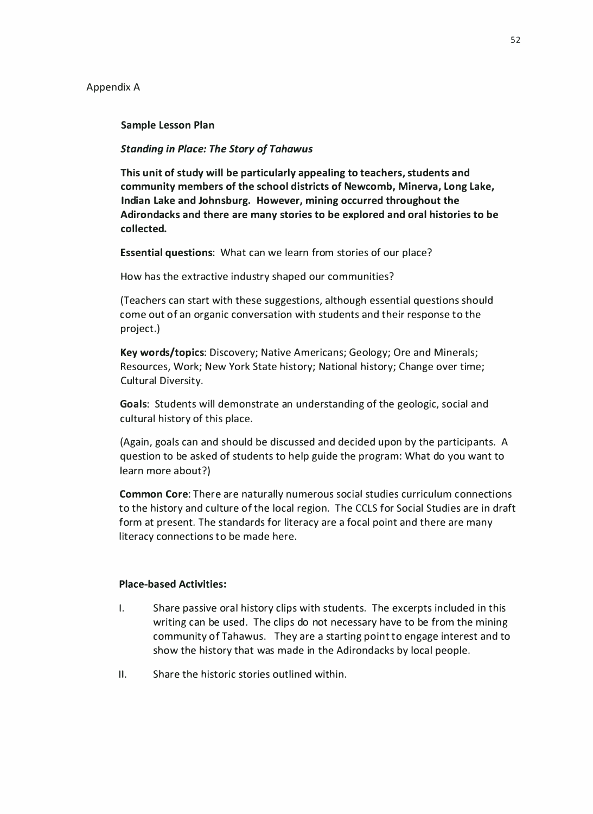Sample Lesson Plan

Standing in Place: The Story of Tahawus

This unit of study will be particularly appealing to teachers, students and community members of the school districts of Newcomb, Minerva, Long Lake, Indian Lake and Johnsburg. However, mining occurred throughout the Adirondacks and there are many stories to be explored and oral histories to be collected.

Essential questions: What can we learn from stories of our place?

How has the extractive industry shaped our communities?

(Teachers can start with these suggestions, although essential questions should come out of an organic conversation with students and their response to the project.)

Key words/topics: Discovery; Native Americans; Geology; Ore and Minerals; Resources, Work; New York State history; National history; Change over time; Cultural Diversity.

Goals: Students will demonstrate an understanding of the geologic, social and cultural history of this place.

(Again, goals can and should be discussed and decided upon by the participants. A question to be asked of students to help guide the program: What do you want to learn more about?)

Common Core: There are naturally numerous social studies curriculum connections to the history and culture of the local region. The CCLS for Social Studies are in draft form at present. The standards for literacy are a focal point and there are many literacy connections to be made here.

#### Place-based Activities:

- I. Share passive oral history clips with students. The excerpts included in this writing can be used. The clips do not necessary have to be from the mining community of Tahawus. They are a starting point to engage interest and to show the history that was made in the Adirondacks by local people.
- II. Share the historic stories outlined within.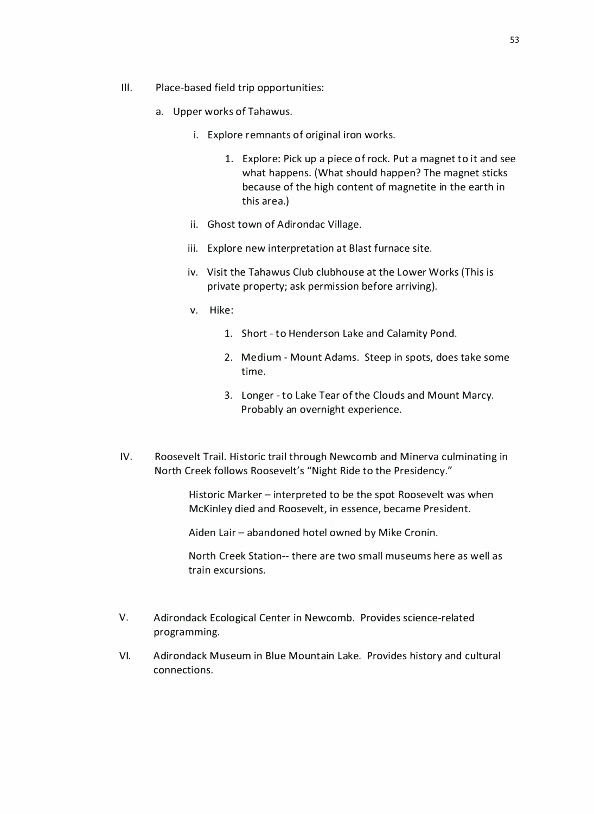- Ill. Place-based field trip opportunities:
	- a. Upper works of Tahawus.
		- i. Explore remnants of original iron works.
			- 1. Explore: Pick up a piece of rock. Put a magnet to it and see what happens. (What should happen? The magnet sticks because of the high content of magnetite in the earth in this area.)
		- ii. Ghost town of Adirondac Village.
		- iii. Explore new interpretation at Blast furnace site.
		- iv. Visit the Tahawus Club clubhouse at the Lower Works (This is private property; ask permission before arriving).
		- v. Hike:
			- 1. Short to Henderson Lake and Calamity Pond.
			- 2. Medium Mount Adams. Steep in spots, does take some time.
			- 3. Longer to Lake Tear of the Clouds and Mount Marcy. Probably an overnight experience.
- IV. Roosevelt Trail. Historic trail through Newcomb and Minerva culminating in North Creek follows Roosevelt's "Night Ride to the Presidency."

Historic Marker - interpreted to be the spot Roosevelt was when McKinley died and Roosevelt, in essence, became President.

Aiden Lair - abandoned hotel owned by Mike Cronin.

North Creek Station-- there are two small museums here as well as train excursions.

- V. Adirondack Ecological Center in Newcomb. Provides science-related programming.
- VI. Adirondack Museum in Blue Mountain Lake. Provides history and cultural connections.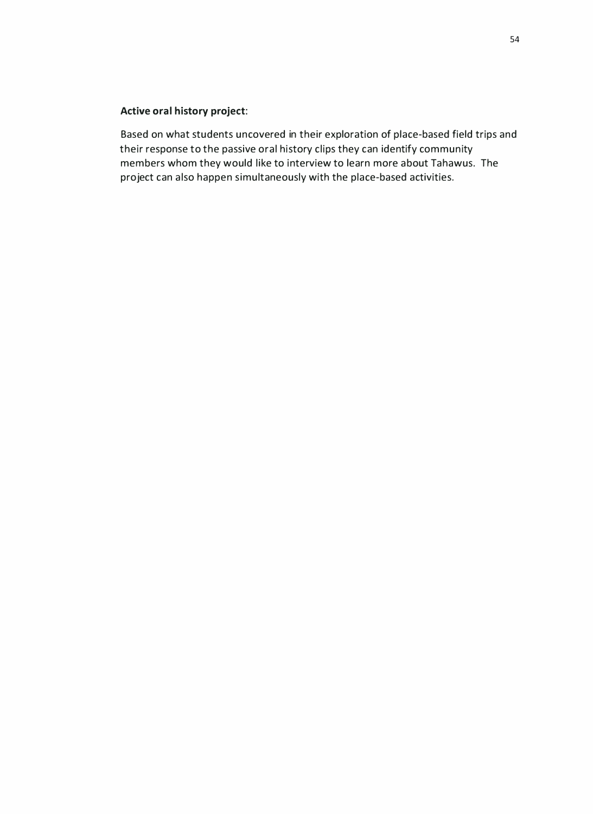#### Active oral history project:

Based on what students uncovered in their exploration of place-based field trips and their response to the passive oral history clips they can identify community members whom they would like to interview to learn more about Tahawus. The project can also happen simultaneously with the place-based activities.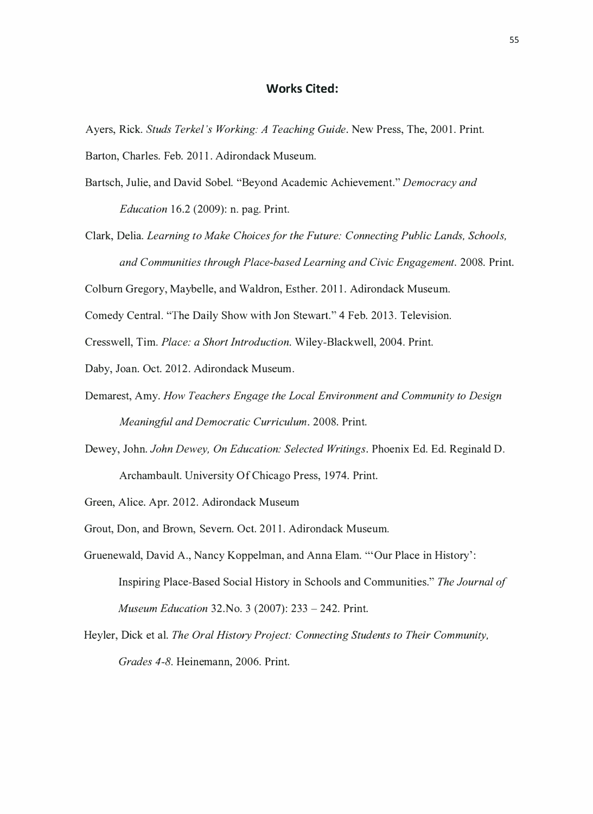#### Works Cited:

- Ayers, Rick. Studs Terkel 's Working: A Teaching Guide. New Press, The, 2001. Print. Barton, Charles. Feb. 2011. Adirondack Museum.
- Bartsch, Julie, and David Sobel. "Beyond Academic Achievement." Democracy and *Education* 16.2 (2009): n. pag. Print.
- Clark, Delia. Learning to Make Choices for the Future: Connecting Public Lands, Schools, and Communities through Place-based Learning and Civic Engagement. 2008. Print.

Colburn Gregory, Maybelle, and Waldron, Esther. 201 1. Adirondack Museum.

Comedy Central. "The Daily Show with Jon Stewart." 4 Feb. 2013. Television.

Cresswell, Tim. Place: a Short Introduction. Wiley-Blackwell, 2004. Print.

Daby, Joan. Oct. 2012. Adirondack Museum.

- Demarest, Amy. How Teachers Engage the Local Environment and Community to Design Meaningful and Democratic Curriculum. 2008. Print.
- Dewey, John. John Dewey, On Education: Selected Writings. Phoenix Ed. Ed. Reginald D. Archambault. University Of Chicago Press, 1974. Print.

Green, Alice. Apr. 2012. Adirondack Museum

Grout, Don, and Brown, Severn. Oct. 201 1. Adirondack Museum.

- Gruenewald, David A., Nancy Koppelman, and Anna Elam. '"Our Place in History' : Inspiring Place-Based Social History in Schools and Communities." The Journal of Museum Education 32. No. 3 (2007): 233 - 242. Print.
- Heyler, Dick et al. The Oral History Project: Connecting Students to Their Community, Grades 4-8. Heinemann, 2006. Print.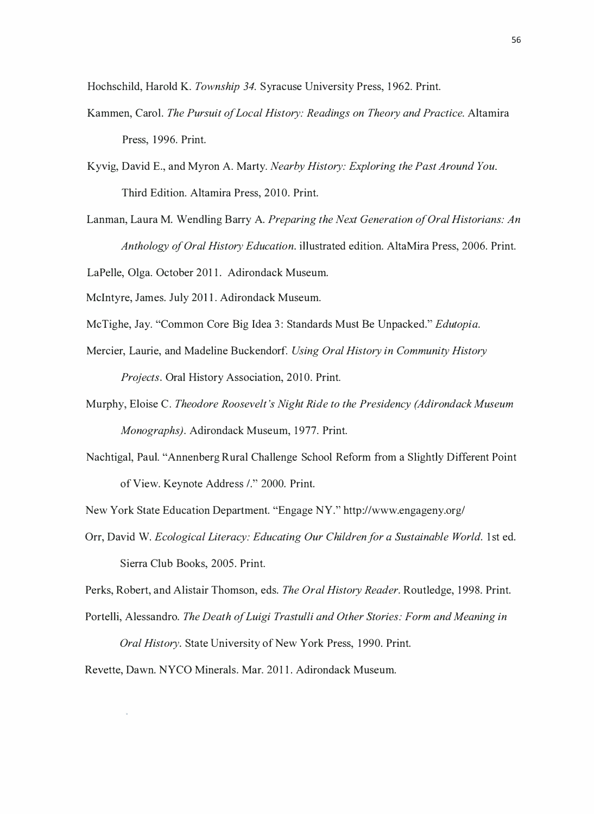Hochschild, Harold K. Township 34. Syracuse University Press, 1962. Print.

- Kammen, Carol. The Pursuit of Local History: Readings on Theory and Practice. Altamira Press, 1996. Print.
- Kyvig, David E., and Myron A. Marty. Nearby History: Exploring the Past Around You. Third Edition. Altamira Press, 2010. Print.
- Lanman, Laura M. Wendling Barry A. Preparing the Next Generation of Oral Historians: An Anthology of Oral History Education. illustrated edition. AltaMira Press, 2006. Print.

LaPelle, Olga. October 201 1. Adirondack Museum.

McIntyre, James. July 2011. Adirondack Museum.

- McTighe, Jay. "Common Core Big Idea 3: Standards Must Be Unpacked." Edutopia.
- Mercier, Laurie, and Madeline Buckendorf. Using Oral History in Community History Projects. Oral History Association, 2010. Print.
- Murphy, Eloise C. Theodore Roosevelt 's Night Ride to the Presidency (Adirondack Museum Monographs). Adirondack Museum, 1977. Print.
- Nachtigal, Paul. "Annenberg Rural Challenge School Reform from a Slightly Different Point of View. Keynote Address /." 2000. Print.

New York State Education Department. "Engage NY." http://www.engageny.org/

Orr, David W. Ecological Literacy: Educating Our Children for a Sustainable World. 1st ed. Sierra Club Books, 2005. Print.

Perks, Robert, and Alistair Thomson, eds. The Oral History Reader. Routledge, 1998. Print.

Portelli, Alessandro. The Death of Luigi Trastulli and Other Stories: Form and Meaning in

Oral History. State University of New York Press, 1 990. Print.

Revette, Dawn. NYCO Minerals. Mar. 2011. Adirondack Museum.